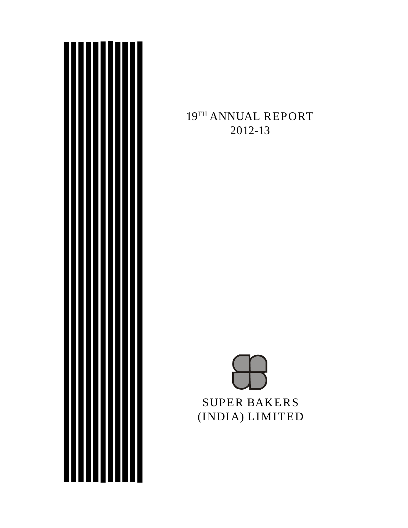

## **19TH ANNUAL REPORT 2012-13**

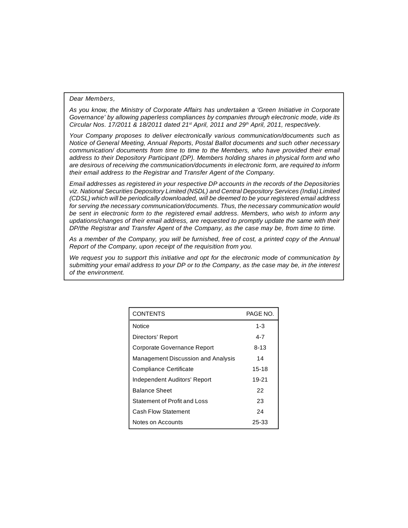#### *Dear Members,*

*As you know, the Ministry of Corporate Affairs has undertaken a 'Green Initiative in Corporate Governance' by allowing paperless compliances by companies through electronic mode, vide its Circular Nos. 17/2011 & 18/2011 dated 21st April, 2011 and 29th April, 2011, respectively.*

*Your Company proposes to deliver electronically various communication/documents such as Notice of General Meeting, Annual Reports, Postal Ballot documents and such other necessary communication/ documents from time to time to the Members, who have provided their email address to their Depository Participant (DP). Members holding shares in physical form and who are desirous of receiving the communication/documents in electronic form, are required to inform their email address to the Registrar and Transfer Agent of the Company.*

*Email addresses as registered in your respective DP accounts in the records of the Depositories viz. National Securities Depository Limited (NSDL) and Central Depository Services (India) Limited (CDSL) which will be periodically downloaded, will be deemed to be your registered email address for serving the necessary communication/documents. Thus, the necessary communication would be sent in electronic form to the registered email address. Members, who wish to inform any updations/changes of their email address, are requested to promptly update the same with their DP/the Registrar and Transfer Agent of the Company, as the case may be, from time to time.*

*As a member of the Company, you will be furnished, free of cost, a printed copy of the Annual Report of the Company, upon receipt of the requisition from you.*

*We request you to support this initiative and opt for the electronic mode of communication by submitting your email address to your DP or to the Company, as the case may be, in the interest of the environment.*

| <b>CONTENTS</b>                    | PAGE NO.  |
|------------------------------------|-----------|
| Notice                             | $1 - 3$   |
| Directors' Report                  | $4 - 7$   |
| Corporate Governance Report        | $8 - 13$  |
| Management Discussion and Analysis | 14        |
| Compliance Certificate             | $15 - 18$ |
| Independent Auditors' Report       | 19-21     |
| <b>Balance Sheet</b>               | 22        |
| Statement of Profit and Loss       | 23        |
| <b>Cash Flow Statement</b>         | 24        |
| Notes on Accounts                  | 25-33     |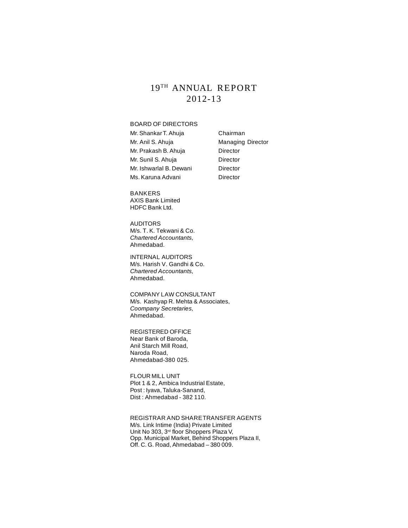### **19TH ANNUAL REPORT 2012-13**

#### **BOARD OF DIRECTORS**

**Mr. Shankar T. Ahuja Chairman Mr. Anil S. Ahuja Managing Director Mr. Prakash B. Ahuja Director Mr. Sunil S. Ahuja Director Mr. Ishwarlal B. Dewani Director Ms. Karuna Advani Director**

#### **BANKERS**

**AXIS Bank Limited HDFC Bank Ltd.**

#### **AUDITORS**

**M/s. T. K. Tekwani & Co.** *Chartered Accountants,* **Ahmedabad.**

#### **INTERNAL AUDITORS**

**M/s. Harish V. Gandhi & Co.** *Chartered Accountants,* **Ahmedabad.**

#### **COMPANY LAW CONSULTANT**

**M/s. Kashyap R. Mehta & Associates,** *Coompany Secretaries,* **Ahmedabad.**

#### **REGISTERED OFFICE**

**Near Bank of Baroda, Anil Starch Mill Road, Naroda Road, Ahmedabad-380 025.**

#### **FLOUR MILL UNIT**

**Plot 1 & 2, Ambica Industrial Estate, Post : Iyava, Taluka-Sanand, Dist : Ahmedabad - 382 110.**

#### **REGISTRAR AND SHARE TRANSFER AGENTS**

**M/s. Link Intime (India) Private Limited Unit No 303, 3rd floor Shoppers Plaza V, Opp. Municipal Market, Behind Shoppers Plaza II, Off. C. G. Road, Ahmedabad – 380 009.**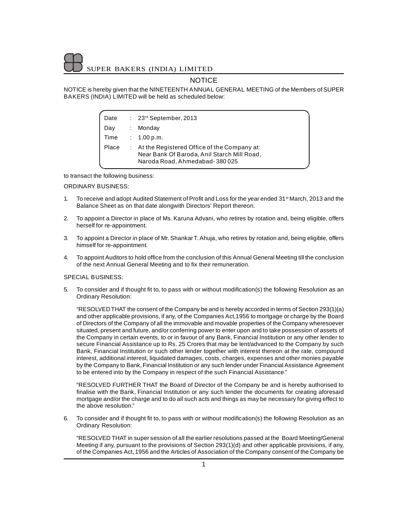#### **NOTICE**

#### **NOTICE is hereby given that the NINETEENTH ANNUAL GENERAL MEETING of the Members of SUPER BAKERS (INDIA) LIMITED will be held as scheduled below:**

| Date         |    | $\therefore$ 23 <sup>rd</sup> September, 2013                                                                               |
|--------------|----|-----------------------------------------------------------------------------------------------------------------------------|
| Day          | ÷. | <b>Monday</b>                                                                                                               |
| <b>Time</b>  |    | : 1.00 p.m.                                                                                                                 |
| <b>Place</b> |    | At the Registered Office of the Company at:<br>Near Bank Of Baroda, Anil Starch Mill Road,<br>Naroda Road, Ahmedabad-380025 |

**to transact the following business:**

#### **ORDINARY BUSINESS:**

- **1. To receive and adopt Audited Statement of Profit and Loss for the year ended 31st March, 2013 and the Balance Sheet as on that date alongwith Directors' Report thereon.**
- **2. To appoint a Director in place of Ms. Karuna Advani, who retires by rotation and, being eligible, offers herself for re-appointment.**
- **3. To appoint a Director in place of Mr. Shankar T. Ahuja, who retires by rotation and, being eligible, offers himself for re-appointment.**
- **4. To appoint Auditors to hold office from the conclusion of this Annual General Meeting till the conclusion of the next Annual General Meeting and to fix their remuneration.**

#### **SPECIAL BUSINESS:**

**5. To consider and if thought fit to, to pass with or without modification(s) the following Resolution as an Ordinary Resolution:**

**"RESOLVED THAT the consent of the Company be and is hereby accorded in terms of Section 293(1)(a) and other applicable provisions, if any, of the Companies Act,1956 to mortgage or charge by the Board of Directors of the Company of all the immovable and movable properties of the Company wheresoever situated, present and future, and/or conferring power to enter upon and to take possession of assets of the Company in certain events, to or in favour of any Bank, Financial Institution or any other lender to secure Financial Assistance up to Rs. 25 Crores that may be lent/advanced to the Company by such Bank, Financial Institution or such other lender together with interest thereon at the rate, compound interest, additional interest, liquidated damages, costs, charges, expenses and other monies payable by the Company to Bank, Financial Institution or any such lender under Financial Assistance Agreement to be entered into by the Company in respect of the such Financial Assistance."**

**"RESOLVED FURTHER THAT the Board of Director of the Company be and is hereby authorised to finalise with the Bank, Financial Institution or any such lender the documents for creating aforesaid mortgage and/or the charge and to do all such acts and things as may be necessary for giving effect to the above resolution."**

**6. To consider and if thought fit to, to pass with or without modification(s) the following Resolution as an Ordinary Resolution:**

**"RESOLVED THAT in super session of all the earlier resolutions passed at the Board Meeting/General Meeting if any, pursuant to the provisions of Section 293(1)(d) and other applicable provisions, if any, of the Companies Act, 1956 and the Articles of Association of the Company consent of the Company be**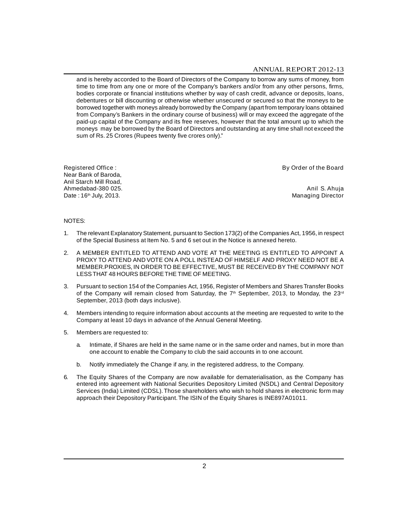#### **ANNUAL REPORT 2012-13**

**and is hereby accorded to the Board of Directors of the Company to borrow any sums of money, from time to time from any one or more of the Company's bankers and/or from any other persons, firms, bodies corporate or financial institutions whether by way of cash credit, advance or deposits, loans, debentures or bill discounting or otherwise whether unsecured or secured so that the moneys to be borrowed together with moneys already borrowed by the Company (apart from temporary loans obtained from Company's Bankers in the ordinary course of business) will or may exceed the aggregate of the paid-up capital of the Company and its free reserves, however that the total amount up to which the moneys may be borrowed by the Board of Directors and outstanding at any time shall not exceed the sum of Rs. 25 Crores (Rupees twenty five crores only)."**

**Near Bank of Baroda, Anil Starch Mill Road, Ahmedabad-380 025. Anil S. Ahuja**

**Registered Office : By Order of the Board**

**Date : 16th July, 2013. Managing Director**

#### **NOTES:**

- **1. The relevant Explanatory Statement, pursuant to Section 173(2) of the Companies Act, 1956, in respect of the Special Business at Item No. 5 and 6 set out in the Notice is annexed hereto.**
- **2. A MEMBER ENTITLED TO ATTEND AND VOTE AT THE MEETING IS ENTITLED TO APPOINT A PROXY TO ATTEND AND VOTE ON A POLL INSTEAD OF HIMSELF AND PROXY NEED NOT BE A MEMBER.PROXIES, IN ORDER TO BE EFFECTIVE, MUST BE RECEIVED BY THE COMPANY NOT LESS THAT 48 HOURS BEFORE THE TIME OF MEETING.**
- **3. Pursuant to section 154 of the Companies Act, 1956, Register of Members and Shares Transfer Books of the Company will remain closed from Saturday, the 7th September, 2013, to Monday, the 23rd September, 2013 (both days inclusive).**
- **4. Members intending to require information about accounts at the meeting are requested to write to the Company at least 10 days in advance of the Annual General Meeting.**
- **5. Members are requested to:**
	- **a. Intimate, if Shares are held in the same name or in the same order and names, but in more than one account to enable the Company to club the said accounts in to one account.**
	- **b. Notify immediately the Change if any, in the registered address, to the Company.**
- **6. The Equity Shares of the Company are now available for dematerialisation, as the Company has entered into agreement with National Securities Depository Limited (NSDL) and Central Depository Services (India) Limited (CDSL). Those shareholders who wish to hold shares in electronic form may approach their Depository Participant. The ISIN of the Equity Shares is INE897A01011.**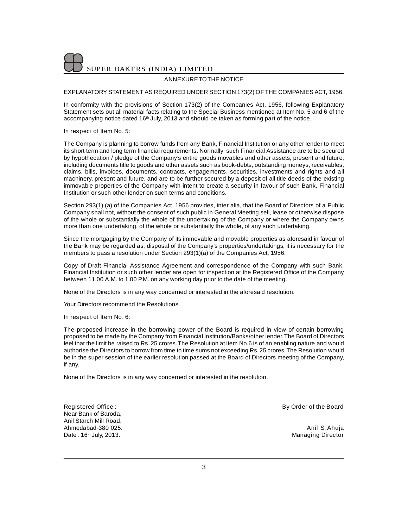#### **ANNEXURE TO THE NOTICE**

#### **EXPLANATORY STATEMENT AS REQUIRED UNDER SECTION 173(2) OF THE COMPANIES ACT, 1956.**

**In conformity with the provisions of Section 173(2) of the Companies Act, 1956, following Explanatory Statement sets out all material facts relating to the Special Business mentioned at Item No. 5 and 6 of the accompanying notice dated 16th July, 2013 and should be taken as forming part of the notice.**

#### **In respect of Item No. 5:**

**The Company is planning to borrow funds from any Bank, Financial Institution or any other lender to meet its short term and long term financial requirements. Normally such Financial Assistance are to be secured by hypothecation / pledge of the Company's entire goods movables and other assets, present and future, including documents title to goods and other assets such as book-debts, outstanding moneys, receivables, claims, bills, invoices, documents, contracts, engagements, securities, investments and rights and all machinery, present and future, and are to be further secured by a deposit of all title deeds of the existing immovable properties of the Company with intent to create a security in favour of such Bank, Financial Institution or such other lender on such terms and conditions.**

**Section 293(1) (a) of the Companies Act, 1956 provides, inter alia, that the Board of Directors of a Public Company shall not, without the consent of such public in General Meeting sell, lease or otherwise dispose of the whole or substantially the whole of the undertaking of the Company or where the Company owns more than one undertaking, of the whole or substantially the whole, of any such undertaking.**

**Since the mortgaging by the Company of its immovable and movable properties as aforesaid in favour of the Bank may be regarded as, disposal of the Company's properties/undertakings, it is necessary for the members to pass a resolution under Section 293(1)(a) of the Companies Act, 1956.**

**Copy of Draft Financial Assistance Agreement and correspondence of the Company with such Bank, Financial Institution or such other lender are open for inspection at the Registered Office of the Company between 11.00 A.M. to 1.00 P.M. on any working day prior to the date of the meeting.**

**None of the Directors is in any way concerned or interested in the aforesaid resolution.**

**Your Directors recommend the Resolutions.**

#### **In respect of Item No. 6:**

**The proposed increase in the borrowing power of the Board is required in view of certain borrowing proposed to be made by the Company from Financial Institution/Banks/other lender. The Board of Directors feel that the limit be raised to Rs. 25 crores. The Resolution at item No.6 is of an enabling nature and would authorise the Directors to borrow from time to time sums not exceeding Rs. 25 crores. The Resolution would be in the super session of the earlier resolution passed at the Board of Directors meeting of the Company, if any.**

**None of the Directors is in any way concerned or interested in the resolution.**

**Near Bank of Baroda, Anil Starch Mill Road, Ahmedabad-380 025. Anil S. Ahuja Date : 16th July, 2013. Managing Director**

**Registered Office : By Order of the Board**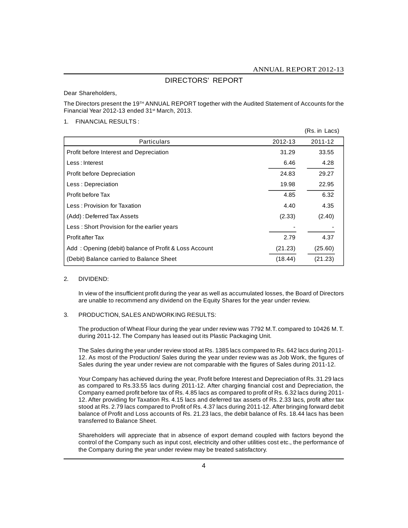#### **DIRECTORS' REPORT**

**Dear Shareholders,**

**The Directors present the 19TH ANNUAL REPORT together with the Audited Statement of Accounts for the Financial Year 2012-13 ended 31st March, 2013.**

#### **1. FINANCIAL RESULTS :**

|                                                       |         | (Rs. in Lacs) |
|-------------------------------------------------------|---------|---------------|
| <b>Particulars</b>                                    | 2012-13 | 2011-12       |
| Profit before Interest and Depreciation               | 31.29   | 33.55         |
| Less: Interest                                        | 6.46    | 4.28          |
| <b>Profit before Depreciation</b>                     | 24.83   | 29.27         |
| Less: Depreciation                                    | 19.98   | 22.95         |
| Profit before Tax                                     | 4.85    | 6.32          |
| Less: Provision for Taxation                          | 4.40    | 4.35          |
| (Add): Deferred Tax Assets                            | (2.33)  | (2.40)        |
| Less: Short Provision for the earlier years           |         |               |
| <b>Profit after Tax</b>                               | 2.79    | 4.37          |
| Add: Opening (debit) balance of Profit & Loss Account | (21.23) | (25.60)       |
| (Debit) Balance carried to Balance Sheet              | (18.44) | (21.23)       |

#### **2. DIVIDEND:**

**In view of the insufficient profit during the year as well as accumulated losses, the Board of Directors are unable to recommend any dividend on the Equity Shares for the year under review.**

#### **3. PRODUCTION, SALES AND WORKING RESULTS:**

**The production of Wheat Flour during the year under review was 7792 M.T. compared to 10426 M. T. during 2011-12. The Company has leased out its Plastic Packaging Unit.**

**The Sales during the year under review stood at Rs. 1385 lacs compared to Rs. 642 lacs during 2011- 12. As most of the Production/ Sales during the year under review was as Job Work, the figures of Sales during the year under review are not comparable with the figures of Sales during 2011-12.**

**Your Company has achieved during the year, Profit before Interest and Depreciation of Rs. 31.29 lacs as compared to Rs.33.55 lacs during 2011-12. After charging financial cost and Depreciation, the Company earned profit before tax of Rs. 4.85 lacs as compared to profit of Rs. 6.32 lacs during 2011- 12. After providing for Taxation Rs. 4.15 lacs and deferred tax assets of Rs. 2.33 lacs, profit after tax stood at Rs. 2.79 lacs compared to Profit of Rs. 4.37 lacs during 2011-12. After bringing forward debit balance of Profit and Loss accounts of Rs. 21.23 lacs, the debit balance of Rs. 18.44 lacs has been transferred to Balance Sheet.**

**Shareholders will appreciate that in absence of export demand coupled with factors beyond the control of the Company such as input cost, electricity and other utilities cost etc., the performance of the Company during the year under review may be treated satisfactory.**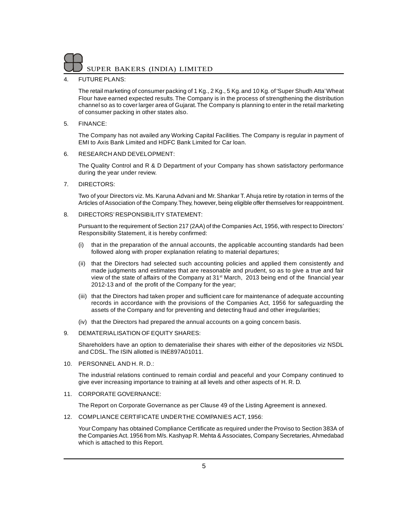#### **4. FUTURE PLANS:**

**The retail marketing of consumer packing of 1 Kg., 2 Kg., 5 Kg. and 10 Kg. of 'Super Shudh Atta' Wheat Flour have earned expected results. The Company is in the process of strengthening the distribution channel so as to cover larger area of Gujarat. The Company is planning to enter in the retail marketing of consumer packing in other states also.**

#### **5. FINANCE:**

**The Company has not availed any Working Capital Facilities. The Company is regular in payment of EMI to Axis Bank Limited and HDFC Bank Limited for Car loan.**

#### **6. RESEARCH AND DEVELOPMENT:**

**The Quality Control and R & D Department of your Company has shown satisfactory performance during the year under review.**

#### **7. DIRECTORS:**

**Two of your Directors viz. Ms. Karuna Advani and Mr. Shankar T. Ahuja retire by rotation in terms of the Articles of Association of the Company. They, however, being eligible offer themselves for reappointment.**

#### **8. DIRECTORS' RESPONSIBILITY STATEMENT:**

**Pursuant to the requirement of Section 217 (2AA) of the Companies Act, 1956, with respect to Directors' Responsibility Statement, it is hereby confirmed:**

- **(i) that in the preparation of the annual accounts, the applicable accounting standards had been followed along with proper explanation relating to material departures;**
- **(ii) that the Directors had selected such accounting policies and applied them consistently and made judgments and estimates that are reasonable and prudent, so as to give a true and fair view of the state of affairs of the Company at 31st March, 2013 being end of the financial year 2012-13 and of the profit of the Company for the year;**
- **(iii) that the Directors had taken proper and sufficient care for maintenance of adequate accounting records in accordance with the provisions of the Companies Act, 1956 for safeguarding the assets of the Company and for preventing and detecting fraud and other irregularities;**
- **(iv) that the Directors had prepared the annual accounts on a going concern basis.**

#### **9. DEMATERIALISATION OF EQUITY SHARES:**

**Shareholders have an option to dematerialise their shares with either of the depositories viz NSDL and CDSL. The ISIN allotted is INE897A01011.**

#### **10. PERSONNEL AND H. R. D.:**

**The industrial relations continued to remain cordial and peaceful and your Company continued to give ever increasing importance to training at all levels and other aspects of H. R. D.**

#### **11. CORPORATE GOVERNANCE:**

**The Report on Corporate Governance as per Clause 49 of the Listing Agreement is annexed.**

#### **12. COMPLIANCE CERTIFICATE UNDER THE COMPANIES ACT, 1956:**

**Your Company has obtained Compliance Certificate as required under the Proviso to Section 383A of the Companies Act. 1956 from M/s. Kashyap R. Mehta & Associates, Company Secretaries, Ahmedabad which is attached to this Report.**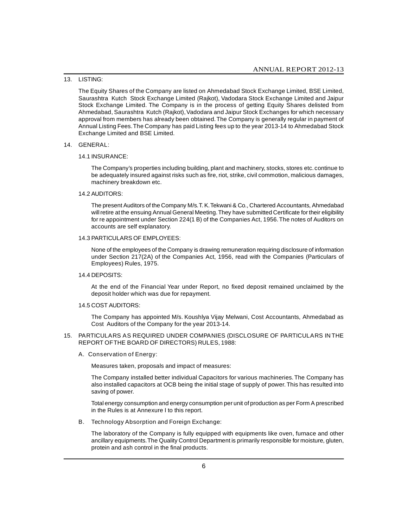#### **13. LISTING:**

**The Equity Shares of the Company are listed on Ahmedabad Stock Exchange Limited, BSE Limited, Saurashtra Kutch Stock Exchange Limited (Rajkot), Vadodara Stock Exchange Limited and Jaipur Stock Exchange Limited. The Company is in the process of getting Equity Shares delisted from Ahmedabad, Saurashtra Kutch (Rajkot), Vadodara and Jaipur Stock Exchanges for which necessary approval from members has already been obtained. The Company is generally regular in payment of Annual Listing Fees. The Company has paid Listing fees up to the year 2013-14 to Ahmedabad Stock Exchange Limited and BSE Limited.**

#### **14. GENERAL:**

**14.1 INSURANCE:**

**The Company's properties including building, plant and machinery, stocks, stores etc. continue to be adequately insured against risks such as fire, riot, strike, civil commotion, malicious damages, machinery breakdown etc.**

**14.2 AUDITORS:**

**The present Auditors of the Company M/s. T. K. Tekwani & Co., Chartered Accountants, Ahmedabad will retire at the ensuing Annual General Meeting. They have submitted Certificate for their eligibility for re appointment under Section 224(1 B) of the Companies Act, 1956. The notes of Auditors on accounts are self explanatory.**

#### **14.3 PARTICULARS OF EMPLOYEES:**

**None of the employees of the Company is drawing remuneration requiring disclosure of information under Section 217(2A) of the Companies Act, 1956, read with the Companies (Particulars of Employees) Rules, 1975.**

#### **14.4 DEPOSITS:**

**At the end of the Financial Year under Report, no fixed deposit remained unclaimed by the deposit holder which was due for repayment.**

#### **14.5 COST AUDITORS:**

**The Company has appointed M/s. Koushlya Vijay Melwani, Cost Accountants, Ahmedabad as Cost Auditors of the Company for the year 2013-14.**

#### **15. PARTICULARS AS REQUIRED UNDER COMPANIES (DISCLOSURE OF PARTICULARS IN THE REPORT OF THE BOARD OF DIRECTORS) RULES, 1988:**

#### **A. Conservation of Energy:**

**Measures taken, proposals and impact of measures:**

**The Company installed better individual Capacitors for various machineries. The Company has also installed capacitors at OCB being the initial stage of supply of power. This has resulted into saving of power.**

**Total energy consumption and energy consumption per unit of production as per Form A prescribed in the Rules is at Annexure I to this report.**

#### **B. Technology Absorption and Foreign Exchange:**

**The laboratory of the Company is fully equipped with equipments like oven, furnace and other ancillary equipments. The Quality Control Department is primarily responsible for moisture, gluten, protein and ash control in the final products.**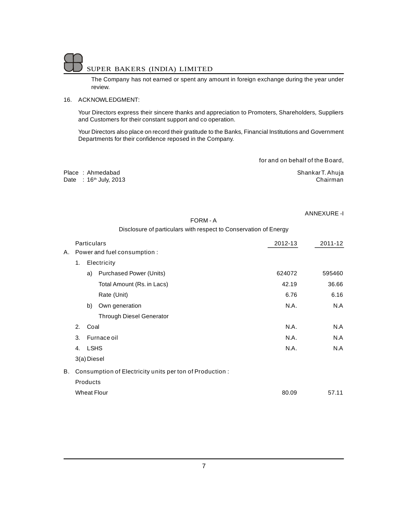**The Company has not earned or spent any amount in foreign exchange during the year under review.**

#### **16. ACKNOWLEDGMENT:**

**Your Directors express their sincere thanks and appreciation to Promoters, Shareholders, Suppliers and Customers for their constant support and co operation.**

**Your Directors also place on record their gratitude to the Banks, Financial Institutions and Government Departments for their confidence reposed in the Company.**

**for and on behalf of the Board,**

| Place: Ahmedabad                  | ShankarT. Ahuja |
|-----------------------------------|-----------------|
| Date: $16^{\text{th}}$ July, 2013 | <b>Chairman</b> |

#### **ANNEXURE -I**

#### **FORM - A**

**Disclosure of particulars with respect to Conservation of Energy**

|    |    | <b>Particulars</b> |                                                         | 2012-13     | 2011-12 |
|----|----|--------------------|---------------------------------------------------------|-------------|---------|
| А. |    |                    | Power and fuel consumption :                            |             |         |
|    | 1. |                    | <b>Electricity</b>                                      |             |         |
|    |    | a)                 | Purchased Power (Units)                                 | 624072      | 595460  |
|    |    |                    | Total Amount (Rs. in Lacs)                              | 42.19       | 36.66   |
|    |    |                    | Rate (Unit)                                             | 6.76        | 6.16    |
|    |    | b)                 | Own generation                                          | <b>N.A.</b> | N.A     |
|    |    |                    | <b>Through Diesel Generator</b>                         |             |         |
|    | 2. | Coal               |                                                         | <b>N.A.</b> | N.A     |
|    | 3. |                    | <b>Furnace oil</b>                                      | <b>N.A.</b> | N.A     |
|    | 4. | LSHS               |                                                         | <b>N.A.</b> | N.A     |
|    |    | 3(a) Diesel        |                                                         |             |         |
| В. |    |                    | Consumption of Electricity units per ton of Production: |             |         |
|    |    | <b>Products</b>    |                                                         |             |         |
|    |    |                    | <b>Wheat Flour</b>                                      | 80.09       | 57.11   |
|    |    |                    |                                                         |             |         |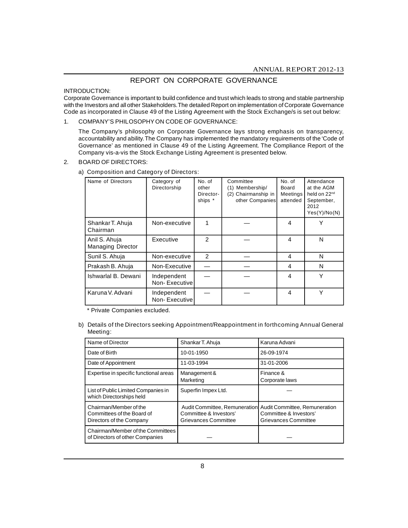#### **REPORT ON CORPORATE GOVERNANCE**

#### **INTRODUCTION:**

**Corporate Governance is important to build confidence and trust which leads to strong and stable partnership with the Investors and all other Stakeholders. The detailed Report on implementation of Corporate Governance Code as incorporated in Clause 49 of the Listing Agreement with the Stock Exchange/s is set out below:**

#### **1. COMPANY'S PHILOSOPHY ON CODE OF GOVERNANCE:**

**The Company's philosophy on Corporate Governance lays strong emphasis on transparency, accountability and ability. The Company has implemented the mandatory requirements of the 'Code of Governance' as mentioned in Clause 49 of the Listing Agreement. The Compliance Report of the Company vis-a-vis the Stock Exchange Listing Agreement is presented below.**

#### **2. BOARD OF DIRECTORS:**

#### **a) Composition and Category of Directors:**

| Name of Directors                         | Category of<br>Directorship  | No. of<br>other<br>Director-<br>ships * | Committee<br>(1) Membership/<br>(2) Chairmanship in<br>other Companies | No. of<br>Board<br>Meetings<br>attended | Attendance<br>at the AGM<br>held on 22 <sup>nd</sup><br>September,<br>2012<br>Yes(Y)/No(N) |
|-------------------------------------------|------------------------------|-----------------------------------------|------------------------------------------------------------------------|-----------------------------------------|--------------------------------------------------------------------------------------------|
| Shankar T. Ahuja<br>Chairman              | Non-executive                |                                         |                                                                        | 4                                       | Y                                                                                          |
| Anil S. Ahuja<br><b>Managing Director</b> | Executive                    | $\mathfrak{p}$                          |                                                                        | 4                                       | N                                                                                          |
| Sunil S. Ahuja                            | Non-executive                | $\mathcal{P}$                           |                                                                        | 4                                       | N                                                                                          |
| Prakash B. Ahuja                          | Non-Executive                |                                         |                                                                        | 4                                       | N                                                                                          |
| Ishwarlal B. Dewani                       | Independent<br>Non-Executive |                                         |                                                                        | 4                                       | Υ                                                                                          |
| Karuna V. Advani                          | Independent<br>Non-Executive |                                         |                                                                        | 4                                       | Υ                                                                                          |

**\* Private Companies excluded.**

#### **b) Details of the Directors seeking Appointment/Reappointment in forthcoming Annual General Meeting:**

| Name of Director                                                                 | Shankar T. Ahuja                                                                | Karuna Advani                                                                   |
|----------------------------------------------------------------------------------|---------------------------------------------------------------------------------|---------------------------------------------------------------------------------|
| Date of Birth                                                                    | 10-01-1950                                                                      | 26-09-1974                                                                      |
| Date of Appointment                                                              | 11-03-1994                                                                      | 31-01-2006                                                                      |
| Expertise in specific functional areas                                           | Management &<br>Marketing                                                       | Finance &<br>Corporate laws                                                     |
| List of Public Limited Companies in<br>which Directorships held                  | Superfin Impex Ltd.                                                             |                                                                                 |
| Chairman/Member of the<br>Committees of the Board of<br>Directors of the Company | Audit Committee, Remuneration<br>Committee & Investors'<br>Grievances Committee | Audit Committee, Remuneration<br>Committee & Investors'<br>Grievances Committee |
| Chairman/Member of the Committees<br>of Directors of other Companies             |                                                                                 |                                                                                 |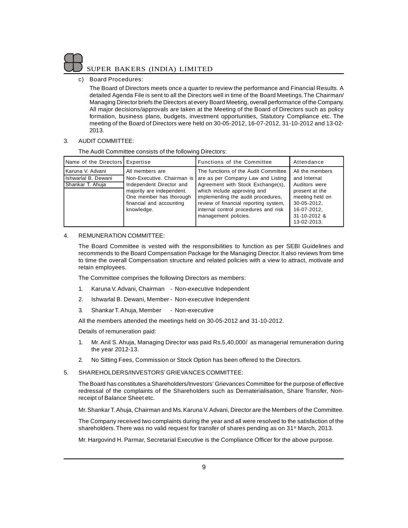#### **c) Board Procedures:**

**The Board of Directors meets once a quarter to review the performance and Financial Results. A detailed Agenda File is sent to all the Directors well in time of the Board Meetings. The Chairman/ Managing Director briefs the Directors at every Board Meeting, overall performance of the Company. All major decisions/approvals are taken at the Meeting of the Board of Directors such as policy formation, business plans, budgets, investment opportunities, Statutory Compliance etc. The meeting of the Board of Directors were held on 30-05-2012, 16-07-2012, 31-10-2012 and 13-02- 2013.**

#### **3. AUDIT COMMITTEE:**

**The Audit Committee consists of the following Directors:**

| Name of the Directors Expertise |                                                                                                                            | <b>Functions of the Committee</b>                                                                                                                                                                               | Attendance                                                                                       |
|---------------------------------|----------------------------------------------------------------------------------------------------------------------------|-----------------------------------------------------------------------------------------------------------------------------------------------------------------------------------------------------------------|--------------------------------------------------------------------------------------------------|
| Karuna V. Advani                | All members are                                                                                                            | The functions of the Audit Committee                                                                                                                                                                            | All the members                                                                                  |
| Ishwarlal B. Dewani             | Non-Executive, Chairman is                                                                                                 | are as per Company Law and Listing                                                                                                                                                                              | and Internal                                                                                     |
| Shankar T. Ahuja                | Independent Director and<br>majority are independent.<br>One member has thorough<br>financial and accounting<br>knowledge. | Agreement with Stock Exchange(s),<br>which include approving and<br>implementing the audit procedures.<br>review of financial reporting system,<br>internal control procedures and risk<br>management policies. | Auditors were<br>present at the<br>meeting held on<br>30-05-2012.<br>16-07-2012.<br>31-10-2012 & |

#### **4. REMUNERATION COMMITTEE:**

**The Board Committee is vested with the responsibilities to function as per SEBI Guidelines and recommends to the Board Compensation Package for the Managing Director. It also reviews from time to time the overall Compensation structure and related policies with a view to attract, motivate and retain employees.**

**The Committee comprises the following Directors as members:**

- **1. Karuna V. Advani, Chairman - Non-executive Independent**
- **2. Ishwarlal B. Dewani, Member - Non-executive Independent**
- **3. Shankar T. Ahuja, Member - Non-executive**

**All the members attended the meetings held on 30-05-2012 and 31-10-2012.**

**Details of remuneration paid:**

- **1. Mr. Anil S. Ahuja, Managing Director was paid Rs.5,40,000/ as managerial remuneration during the year 2012-13.**
- **2. No Sitting Fees, Commission or Stock Option has been offered to the Directors.**

#### **5. SHAREHOLDERS/INVESTORS' GRIEVANCES COMMITTEE:**

**The Board has constitutes a Shareholders/Investors' Grievances Committee for the purpose of effective redressal of the complaints of the Shareholders such as Dematerialisation, Share Transfer, Nonreceipt of Balance Sheet etc.**

**Mr. Shankar T. Ahuja, Chairman and Ms. Karuna V. Advani, Director are the Members of the Committee.**

**The Company received two complaints during the year and all were resolved to the satisfaction of the shareholders. There was no valid request for transfer of shares pending as on 31st March, 2013.**

**Mr. Hargovind H. Parmar, Secretarial Executive is the Compliance Officer for the above purpose.**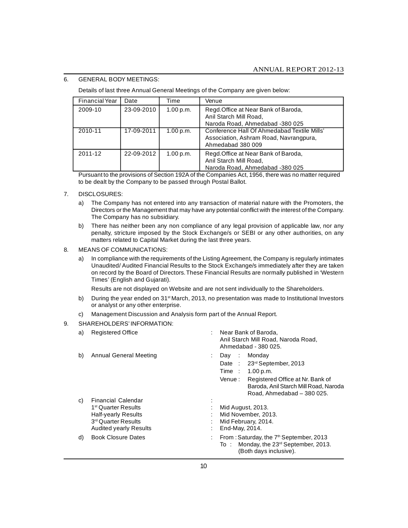#### **6. GENERAL BODY MEETINGS:**

**Details of last three Annual General Meetings of the Company are given below:**

| <b>Financial Year</b> | Date       | Time      | Venue                                       |
|-----------------------|------------|-----------|---------------------------------------------|
| 2009-10               | 23-09-2010 | 1.00 p.m. | Regd. Office at Near Bank of Baroda,        |
|                       |            |           | Anil Starch Mill Road,                      |
|                       |            |           | Naroda Road, Ahmedabad -380 025             |
| 2010-11               | 17-09-2011 | 1.00 p.m. | Conference Hall Of Ahmedabad Textile Mills' |
|                       |            |           | Association, Ashram Road, Navrangpura,      |
|                       |            |           | Ahmedabad 380 009                           |
| 2011-12               | 22-09-2012 | 1.00 p.m. | Regd. Office at Near Bank of Baroda,        |
|                       |            |           | Anil Starch Mill Road,                      |
|                       |            |           | Naroda Road, Ahmedabad -380 025             |

**Pursuant to the provisions of Section 192A of the Companies Act, 1956, there was no matter required to be dealt by the Company to be passed through Postal Ballot.**

#### **7. DISCLOSURES:**

- **a) The Company has not entered into any transaction of material nature with the Promoters, the Directors or the Management that may have any potential conflict with the interest of the Company. The Company has no subsidiary.**
- **b) There has neither been any non compliance of any legal provision of applicable law, nor any penalty, stricture imposed by the Stock Exchange/s or SEBI or any other authorities, on any matters related to Capital Market during the last three years.**

#### **8. MEANS OF COMMUNICATIONS:**

**a) In compliance with the requirements of the Listing Agreement, the Company is regularly intimates Unaudited/ Audited Financial Results to the Stock Exchange/s immediately after they are taken on record by the Board of Directors. These Financial Results are normally published in 'Western Times' (English and Gujarati).**

**Results are not displayed on Website and are not sent individually to the Shareholders.**

- **b) During the year ended on 31st March, 2013, no presentation was made to Institutional Investors or analyst or any other enterprise.**
- **c) Management Discussion and Analysis form part of the Annual Report.**

#### **9. SHAREHOLDERS' INFORMATION:**

| a) | <b>Registered Office</b>                                                                                                                                |   | Near Bank of Baroda,<br>Anil Starch Mill Road, Naroda Road,<br>Ahmedabad - 380 025.                                                                                                                                   |
|----|---------------------------------------------------------------------------------------------------------------------------------------------------------|---|-----------------------------------------------------------------------------------------------------------------------------------------------------------------------------------------------------------------------|
| b) | Annual General Meeting                                                                                                                                  | ÷ | Monday<br>$\sim 10$<br>Day<br>23 <sup>rd</sup> September, 2013<br>Date :<br>Time :<br>1.00 p.m.<br>Venue :<br>Registered Office at Nr. Bank of<br>Baroda, Anil Starch Mill Road, Naroda<br>Road, Ahmedabad - 380 025. |
| C) | Financial Calendar<br>1 <sup>st</sup> Quarter Results<br><b>Half-yearly Results</b><br>3 <sup>rd</sup> Quarter Results<br><b>Audited yearly Results</b> |   | Mid August, 2013.<br>Mid November, 2013.<br>Mid February, 2014.<br>End-May, 2014.                                                                                                                                     |
| d) | <b>Book Closure Dates</b>                                                                                                                               |   | From: Saturday, the 7 <sup>th</sup> September, 2013<br>Monday, the 23 <sup>rd</sup> September, 2013.<br>To :<br>(Both days inclusive).                                                                                |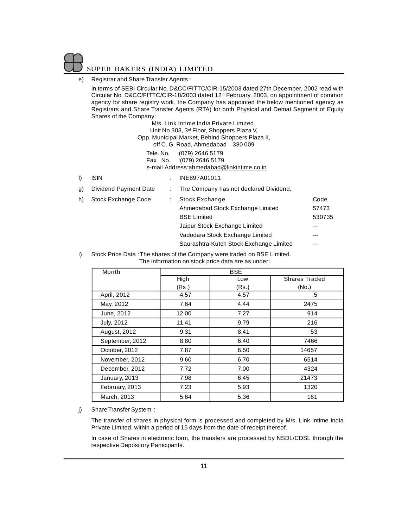**e) Registrar and Share Transfer Agents :**

**In terms of SEBI Circular No. D&CC/FITTC/CIR-15/2003 dated 27th December, 2002 read with Circular No. D&CC/FITTC/CIR-18/2003 dated 12th February, 2003, on appointment of common agency for share registry work, the Company has appointed the below mentioned agency as Registrars and Share Transfer Agents (RTA) for both Physical and Demat Segment of Equity Shares of the Company:**

#### **M/s. Link Intime India Private Limited. Unit No 303, 3rd Floor, Shoppers Plaza V, Opp. Municipal Market, Behind Shoppers Plaza II,**

**off C. G. Road, Ahmedabad – 380 009**

**Tele. No. :(079) 2646 5179 Fax No. :(079) 2646 5179 e-mail Address:ahmedabad@linkintime.co.in**

| f)<br><b>ISIN</b> | INE897A01011 |
|-------------------|--------------|
|-------------------|--------------|

| Dividend Payment Date<br>g). |  | The Company has not declared Dividend. |
|------------------------------|--|----------------------------------------|
|------------------------------|--|----------------------------------------|

| h) | Stock Exchange Code | <b>Stock Exchange</b>            | Code   |
|----|---------------------|----------------------------------|--------|
|    |                     | Ahmedabad Stock Exchange Limited | 57473  |
|    |                     | <b>BSE Limited</b>               | 530735 |
|    |                     | Jaipur Stock Exchange Limited    | $--$   |
|    |                     | Vadodara Stock Exchange Limited  | $--$   |
|    |                     |                                  |        |

**Saurashtra-Kutch Stock Exchange Limited** 

**i) Stock Price Data : The shares of the Company were traded on BSE Limited. The information on stock price data are as under:**

| Month               |       | <b>BSE</b> |                      |  |  |  |
|---------------------|-------|------------|----------------------|--|--|--|
|                     | High  | Low        | <b>Shares Traded</b> |  |  |  |
|                     | (Rs.) | (Rs.)      | (No.)                |  |  |  |
| April, 2012         | 4.57  | 4.57       | 5                    |  |  |  |
| May, 2012           | 7.64  | 4.44       | 2475                 |  |  |  |
| June, 2012          | 12.00 | 7.27       | 914                  |  |  |  |
| <b>July, 2012</b>   | 11.41 | 9.79       | 216                  |  |  |  |
| <b>August, 2012</b> | 9.31  | 8.41       | 53                   |  |  |  |
| September, 2012     | 8.80  | 6.40       | 7466                 |  |  |  |
| October, 2012       | 7.87  | 6.50       | 14657                |  |  |  |
| November, 2012      | 9.60  | 6.70       | 6514                 |  |  |  |
| December, 2012      | 7.72  | 7.00       | 4324                 |  |  |  |
| January, 2013       | 7.98  | 6.45       | 21473                |  |  |  |
| February, 2013      | 7.23  | 5.93       | 1320                 |  |  |  |
| March, 2013         | 5.64  | 5.36       | 161                  |  |  |  |

**j) Share Transfer System :**

**The transfer of shares in physical form is processed and completed by M/s. Link Intime India Private Limited. within a period of 15 days from the date of receipt thereof.**

**In case of Shares in electronic form, the transfers are processed by NSDL/CDSL through the respective Depository Participants.**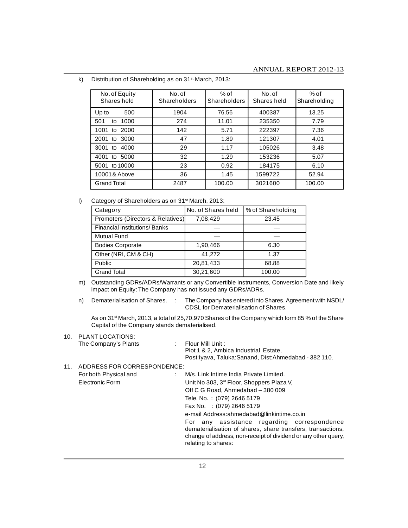| k) | Distribution of Shareholding as on 31 <sup>st</sup> March, 2013: |  |  |
|----|------------------------------------------------------------------|--|--|
|----|------------------------------------------------------------------|--|--|

| <b>No. of Equity</b><br><b>Shares held</b> | No. of<br><b>Shareholders</b> | $%$ of<br><b>Shareholders</b> | No. of<br><b>Shares held</b> | $%$ of<br>Shareholding |
|--------------------------------------------|-------------------------------|-------------------------------|------------------------------|------------------------|
| 500<br>Up to                               | 1904                          | 76.56                         | 400387                       | 13.25                  |
| 1000<br>501<br>to                          | 274                           | 11.01                         | 235350                       | 7.79                   |
| 2000<br>1001<br>to                         | 142                           | 5.71                          | 222397                       | 7.36                   |
| 3000<br>2001<br>to                         | 47                            | 1.89                          | 121307                       | 4.01                   |
| 4000<br>3001<br>to                         | 29                            | 1.17                          | 105026                       | 3.48                   |
| 5000<br>4001<br>to                         | 32                            | 1.29                          | 153236                       | 5.07                   |
| to 10000<br>5001                           | 23                            | 0.92                          | 184175                       | 6.10                   |
| 10001& Above                               | 36                            | 1.45                          | 1599722                      | 52.94                  |
| <b>Grand Total</b>                         | 2487                          | 100.00                        | 3021600                      | 100.00                 |

**l) Category of Shareholders as on 31st March, 2013:**

| Category                            | No. of Shares held | % of Shareholding |
|-------------------------------------|--------------------|-------------------|
| Promoters (Directors & Relatives)   | 7.08.429           | 23.45             |
| <b>Financial Institutions/Banks</b> |                    |                   |
| <b>Mutual Fund</b>                  |                    |                   |
| <b>Bodies Corporate</b>             | 1,90,466           | 6.30              |
| Other (NRI, CM & CH)                | 41.272             | 1.37              |
| <b>Public</b>                       | 20,81,433          | 68.88             |
| <b>Grand Total</b>                  | 30,21,600          | 100.00            |

- **m) Outstanding GDRs/ADRs/Warrants or any Convertible Instruments, Conversion Date and likely impact on Equity: The Company has not issued any GDRs/ADRs.**
- 

**n) Dematerialisation of Shares. : The Company has entered into Shares. Agreement with NSDL/ CDSL for Dematerialisation of Shares.**

**As on 31st March, 2013, a total of 25,70,970 Shares of the Company which form 85 % of the Share Capital of the Company stands dematerialised.**

#### **10. PLANT LOCATIONS:**

**The Company's Plants : Flour Mill Unit : Plot 1 & 2, Ambica Industrial Estate, Post:Iyava, Taluka:Sanand, Dist:Ahmedabad - 382 110.**

#### **11. ADDRESS FOR CORRESPONDENCE:**

| M/s. Link Intime India Private Limited.                                                                                                                                                             |
|-----------------------------------------------------------------------------------------------------------------------------------------------------------------------------------------------------|
| Unit No 303, 3 <sup>rd</sup> Floor, Shoppers Plaza V,                                                                                                                                               |
| Off C G Road, Ahmedabad - 380 009                                                                                                                                                                   |
| Tele. No.: (079) 2646 5179                                                                                                                                                                          |
| Fax No. : (079) 2646 5179                                                                                                                                                                           |
| e-mail Address: ahmedabad@linkintime.co.in                                                                                                                                                          |
| For any assistance regarding correspondence<br>dematerialisation of shares, share transfers, transactions,<br>change of address, non-receipt of dividend or any other query,<br>relating to shares: |
|                                                                                                                                                                                                     |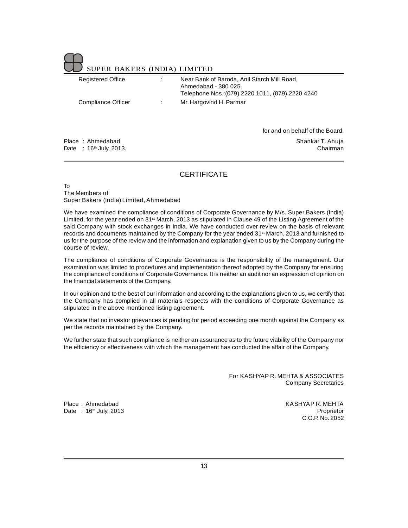| <b>Registered Office</b> | Near Bank of Baroda, Anil Starch Mill Road,<br>Ahmedabad - 380 025.<br>Telephone Nos.: (079) 2220 1011, (079) 2220 4240 |
|--------------------------|-------------------------------------------------------------------------------------------------------------------------|
| Compliance Officer       | Mr. Hargovind H. Parmar                                                                                                 |

**Date : 16th July, 2013. Chairman**

**Place : Ahmedabad Shankar T. Ahuja**

#### **CERTIFICATE**

#### **To The Members of Super Bakers (India) Limited, Ahmedabad**

**We have examined the compliance of conditions of Corporate Governance by M/s. Super Bakers (India) Limited, for the year ended on 31st March, 2013 as stipulated in Clause 49 of the Listing Agreement of the said Company with stock exchanges in India. We have conducted over review on the basis of relevant records and documents maintained by the Company for the year ended 31st March, 2013 and furnished to us for the purpose of the review and the information and explanation given to us by the Company during the course of review.**

**The compliance of conditions of Corporate Governance is the responsibility of the management. Our examination was limited to procedures and implementation thereof adopted by the Company for ensuring the compliance of conditions of Corporate Governance. It is neither an audit nor an expression of opinion on the financial statements of the Company.**

**In our opinion and to the best of our information and according to the explanations given to us, we certify that the Company has complied in all materials respects with the conditions of Corporate Governance as stipulated in the above mentioned listing agreement.**

**We state that no investor grievances is pending for period exceeding one month against the Company as per the records maintained by the Company.**

**We further state that such compliance is neither an assurance as to the future viability of the Company nor the efficiency or effectiveness with which the management has conducted the affair of the Company.**

> **For KASHYAP R. MEHTA & ASSOCIATES Company Secretaries**

**Date : 16th July, 2013 Proprietor**

**Place : Ahmedabad KASHYAP R. MEHTA C.O.P. No. 2052**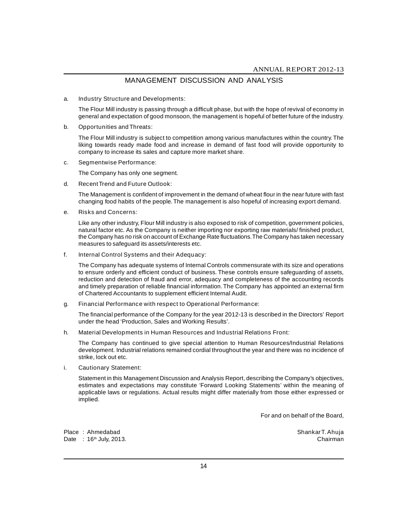#### **MANAGEMENT DISCUSSION AND ANALYSIS**

#### **a. Industry Structure and Developments:**

**The Flour Mill industry is passing through a difficult phase, but with the hope of revival of economy in general and expectation of good monsoon, the management is hopeful of better future of the industry.**

#### **b. Opportunities and Threats:**

**The Flour Mill industry is subject to competition among various manufactures within the country. The liking towards ready made food and increase in demand of fast food will provide opportunity to company to increase its sales and capture more market share.**

#### **c. Segmentwise Performance:**

**The Company has only one segment.**

#### **d. Recent Trend and Future Outlook:**

**The Management is confident of improvement in the demand of wheat flour in the near future with fast changing food habits of the people. The management is also hopeful of increasing export demand.**

#### **e. Risks and Concerns:**

**Like any other industry, Flour Mill industry is also exposed to risk of competition, government policies, natural factor etc. As the Company is neither importing nor exporting raw materials/ finished product, the Company has no risk on account of Exchange Rate fluctuations. The Company has taken necessary measures to safeguard its assets/interests etc.**

#### **f. Internal Control Systems and their Adequacy:**

**The Company has adequate systems of Internal Controls commensurate with its size and operations to ensure orderly and efficient conduct of business. These controls ensure safeguarding of assets, reduction and detection of fraud and error, adequacy and completeness of the accounting records and timely preparation of reliable financial information. The Company has appointed an external firm of Chartered Accountants to supplement efficient Internal Audit.**

#### **g. Financial Performance with respect to Operational Performance:**

**The financial performance of the Company for the year 2012-13 is described in the Directors' Report under the head 'Production, Sales and Working Results'.**

#### **h. Material Developments in Human Resources and Industrial Relations Front:**

**The Company has continued to give special attention to Human Resources/Industrial Relations development. Industrial relations remained cordial throughout the year and there was no incidence of strike, lock out etc.**

#### **i. Cautionary Statement:**

**Statement in this Management Discussion and Analysis Report, describing the Company's objectives, estimates and expectations may constitute 'Forward Looking Statements' within the meaning of applicable laws or regulations. Actual results might differ materially from those either expressed or implied.**

**For and on behalf of the Board,**

**Place : Ahmedabad Shankar T. Ahuja Date : 16th July, 2013. Chairman**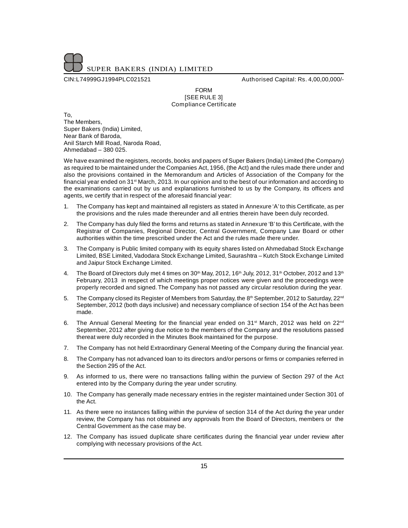**CIN:L74999GJ1994PLC021521 Authorised Capital: Rs. 4,00,00,000/-**

#### **FORM [SEE RULE 3] Compliance Certificate**

**To, The Members, Super Bakers (India) Limited, Near Bank of Baroda, Anil Starch Mill Road, Naroda Road, Ahmedabad – 380 025.**

**We have examined the registers, records, books and papers of Super Bakers (India) Limited (the Company) as required to be maintained under the Companies Act, 1956, (the Act) and the rules made there under and also the provisions contained in the Memorandum and Articles of Association of the Company for the financial year ended on 31st March, 2013. In our opinion and to the best of our information and according to the examinations carried out by us and explanations furnished to us by the Company, its officers and agents, we certify that in respect of the aforesaid financial year:**

- **1. The Company has kept and maintained all registers as stated in Annexure 'A' to this Certificate, as per the provisions and the rules made thereunder and all entries therein have been duly recorded.**
- **2. The Company has duly filed the forms and returns as stated in Annexure 'B' to this Certificate, with the Registrar of Companies, Regional Director, Central Government, Company Law Board or other authorities within the time prescribed under the Act and the rules made there under.**
- **3. The Company is Public limited company with its equity shares listed on Ahmedabad Stock Exchange Limited, BSE Limited, Vadodara Stock Exchange Limited, Saurashtra – Kutch Stock Exchange Limited and Jaipur Stock Exchange Limited.**
- **4. The Board of Directors duly met 4 times on 30th May, 2012, 16th July, 2012, 31th October, 2012 and 13th February, 2013 in respect of which meetings proper notices were given and the proceedings were properly recorded and signed. The Company has not passed any circular resolution during the year.**
- **5. The Company closed its Register of Members from Saturday, the 8th September, 2012 to Saturday, 22nd September, 2012 (both days inclusive) and necessary compliance of section 154 of the Act has been made.**
- **6. The Annual General Meeting for the financial year ended on 31st March, 2012 was held on 22nd September, 2012 after giving due notice to the members of the Company and the resolutions passed thereat were duly recorded in the Minutes Book maintained for the purpose.**
- **7. The Company has not held Extraordinary General Meeting of the Company during the financial year.**
- **8. The Company has not advanced loan to its directors and/or persons or firms or companies referred in the Section 295 of the Act.**
- **9. As informed to us, there were no transactions falling within the purview of Section 297 of the Act entered into by the Company during the year under scrutiny.**
- **10. The Company has generally made necessary entries in the register maintained under Section 301 of the Act.**
- **11. As there were no instances falling within the purview of section 314 of the Act during the year under review, the Company has not obtained any approvals from the Board of Directors, members or the Central Government as the case may be.**
- **12. The Company has issued duplicate share certificates during the financial year under review after complying with necessary provisions of the Act.**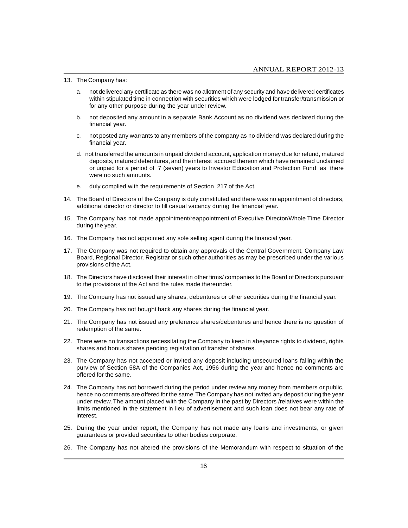**13. The Company has:**

- **a. not delivered any certificate as there was no allotment of any security and have delivered certificates within stipulated time in connection with securities which were lodged for transfer/transmission or for any other purpose during the year under review.**
- **b. not deposited any amount in a separate Bank Account as no dividend was declared during the financial year.**
- **c. not posted any warrants to any members of the company as no dividend was declared during the financial year.**
- **d. not transferred the amounts in unpaid dividend account, application money due for refund, matured deposits, matured debentures, and the interest accrued thereon which have remained unclaimed or unpaid for a period of 7 (seven) years to Investor Education and Protection Fund as there were no such amounts.**
- **e. duly complied with the requirements of Section 217 of the Act.**
- **14. The Board of Directors of the Company is duly constituted and there was no appointment of directors, additional director or director to fill casual vacancy during the financial year.**
- **15. The Company has not made appointment/reappointment of Executive Director/Whole Time Director during the year.**
- **16. The Company has not appointed any sole selling agent during the financial year.**
- **17. The Company was not required to obtain any approvals of the Central Government, Company Law Board, Regional Director, Registrar or such other authorities as may be prescribed under the various provisions of the Act.**
- **18. The Directors have disclosed their interest in other firms/ companies to the Board of Directors pursuant to the provisions of the Act and the rules made thereunder.**
- **19. The Company has not issued any shares, debentures or other securities during the financial year.**
- **20. The Company has not bought back any shares during the financial year.**
- **21. The Company has not issued any preference shares/debentures and hence there is no question of redemption of the same.**
- **22. There were no transactions necessitating the Company to keep in abeyance rights to dividend, rights shares and bonus shares pending registration of transfer of shares.**
- **23. The Company has not accepted or invited any deposit including unsecured loans falling within the purview of Section 58A of the Companies Act, 1956 during the year and hence no comments are offered for the same.**
- **24. The Company has not borrowed during the period under review any money from members or public, hence no comments are offered for the same. The Company has not invited any deposit during the year under review. The amount placed with the Company in the past by Directors /relatives were within the limits mentioned in the statement in lieu of advertisement and such loan does not bear any rate of interest.**
- **25. During the year under report, the Company has not made any loans and investments, or given guarantees or provided securities to other bodies corporate.**
- **26. The Company has not altered the provisions of the Memorandum with respect to situation of the**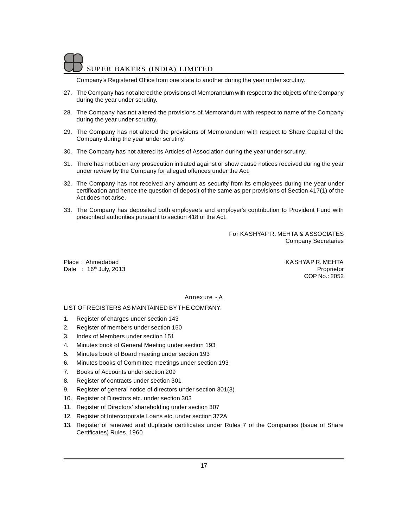**Company's Registered Office from one state to another during the year under scrutiny.**

- **27. The Company has not altered the provisions of Memorandum with respect to the objects of the Company during the year under scrutiny.**
- **28. The Company has not altered the provisions of Memorandum with respect to name of the Company during the year under scrutiny.**
- **29. The Company has not altered the provisions of Memorandum with respect to Share Capital of the Company during the year under scrutiny.**
- **30. The Company has not altered its Articles of Association during the year under scrutiny.**
- **31. There has not been any prosecution initiated against or show cause notices received during the year under review by the Company for alleged offences under the Act.**
- **32. The Company has not received any amount as security from its employees during the year under certification and hence the question of deposit of the same as per provisions of Section 417(1) of the Act does not arise.**
- **33. The Company has deposited both employee's and employer's contribution to Provident Fund with prescribed authorities pursuant to section 418 of the Act.**

### **For KASHYAP R. MEHTA & ASSOCIATES**

**Company Secretaries**

**Place : Ahmedabad KASHYAP R. MEHTA Date : 16th July, 2013 Proprietor**

**COP No.: 2052**

#### **Annexure - A**

**LIST OF REGISTERS AS MAINTAINED BY THE COMPANY:**

- **1. Register of charges under section 143**
- **2. Register of members under section 150**
- **3. Index of Members under section 151**
- **4. Minutes book of General Meeting under section 193**
- **5. Minutes book of Board meeting under section 193**
- **6. Minutes books of Committee meetings under section 193**
- **7. Books of Accounts under section 209**
- **8. Register of contracts under section 301**
- **9. Register of general notice of directors under section 301(3)**
- **10. Register of Directors etc. under section 303**
- **11. Register of Directors' shareholding under section 307**
- **12. Register of Intercorporate Loans etc. under section 372A**
- **13. Register of renewed and duplicate certificates under Rules 7 of the Companies (Issue of Share Certificates) Rules, 1960**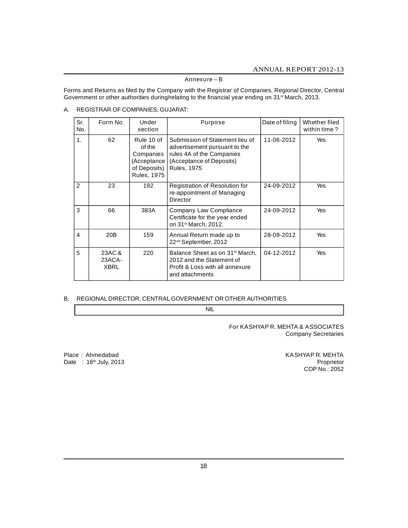#### **Annexure – B**

**Forms and Returns as filed by the Company with the Registrar of Companies, Regional Director, Central Government or other authorities during/relating to the financial year ending on 31st March, 2013.**

**A. REGISTRAR OF COMPANIES, GUJARAT:**

| Sr.<br>No.    | Form No.                        | <b>Under</b><br>section                                                                | <b>Purpose</b>                                                                                                                                  | Date of filing | <b>Whether filed</b><br>within time? |
|---------------|---------------------------------|----------------------------------------------------------------------------------------|-------------------------------------------------------------------------------------------------------------------------------------------------|----------------|--------------------------------------|
| 1.            | 62                              | Rule 10 of<br>of the<br>Companies<br>Acceptance)<br>of Deposits)<br><b>Rules, 1975</b> | Submission of Statement lieu of<br>advertisement pursuant to the<br>rules 4A of the Companies<br>(Acceptance of Deposits)<br><b>Rules, 1975</b> | 11-06-2012     | Yes                                  |
| $\mathcal{P}$ | 23                              | 192                                                                                    | Registration of Resolution for<br>re-appointment of Managing<br>Director                                                                        | 24-09-2012     | Yes                                  |
| 3             | 66                              | 383A                                                                                   | Company Law Compliance<br>Certificate for the year ended<br>on 31 <sup>st</sup> March, 2012.                                                    | 24-09-2012     | Yes                                  |
| 4             | 20 <sub>B</sub>                 | 159                                                                                    | Annual Return made up to<br>22 <sup>nd</sup> September, 2012                                                                                    | 28-09-2012     | Yes                                  |
| 5             | 23AC &<br>23ACA-<br><b>XBRL</b> | 220                                                                                    | Balance Sheet as on 31st March,<br>2012 and the Statement of<br>Profit & Loss with all annexure<br>and attachments                              | 04-12-2012     | Yes                                  |

**B. REGIONAL DIRECTOR, CENTRAL GOVERNMENT OR OTHER AUTHORITIES**

**NIL**

**For KASHYAP R. MEHTA & ASSOCIATES Company Secretaries**

**Date : 16th July, 2013 Proprietor**

#### **Place : Ahmedabad KASHYAP R. MEHTA**

**COP No.: 2052**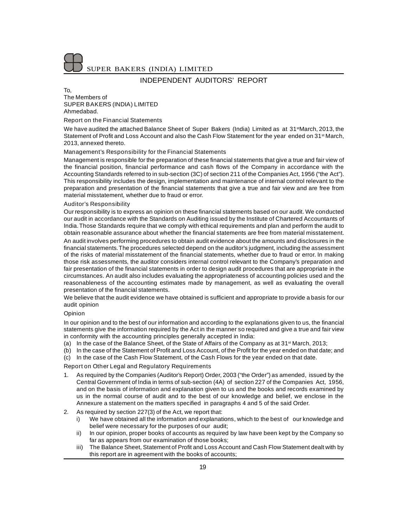#### **INDEPENDENT AUDITORS' REPORT**

#### **To, The Members of SUPER BAKERS (INDIA) LIMITED Ahmedabad.**

#### **Report on the Financial Statements**

**We have audited the attached Balance Sheet of Super Bakers (India) Limited as at 31stMarch, 2013, the Statement of Profit and Loss Account and also the Cash Flow Statement for the year ended on 31st March, 2013, annexed thereto.**

#### **Management's Responsibility for the Financial Statements**

**Management is responsible for the preparation of these financial statements that give a true and fair view of the financial position, financial performance and cash flows of the Company in accordance with the Accounting Standards referred to in sub-section (3C) of section 211 of the Companies Act, 1956 ("the Act"). This responsibility includes the design, implementation and maintenance of internal control relevant to the preparation and presentation of the financial statements that give a true and fair view and are free from material misstatement, whether due to fraud or error.**

#### **Auditor's Responsibility**

**Our responsibility is to express an opinion on these financial statements based on our audit. We conducted our audit in accordance with the Standards on Auditing issued by the Institute of Chartered Accountants of India. Those Standards require that we comply with ethical requirements and plan and perform the audit to obtain reasonable assurance about whether the financial statements are free from material misstatement. An audit involves performing procedures to obtain audit evidence about the amounts and disclosures in the financial statements. The procedures selected depend on the auditor's judgment, including the assessment of the risks of material misstatement of the financial statements, whether due to fraud or error. In making those risk assessments, the auditor considers internal control relevant to the Company's preparation and fair presentation of the financial statements in order to design audit procedures that are appropriate in the circumstances. An audit also includes evaluating the appropriateness of accounting policies used and the reasonableness of the accounting estimates made by management, as well as evaluating the overall presentation of the financial statements.**

**We believe that the audit evidence we have obtained is sufficient and appropriate to provide a basis for our audit opinion**

#### **Opinion**

**In our opinion and to the best of our information and according to the explanations given to us, the financial statements give the information required by the Act in the manner so required and give a true and fair view in conformity with the accounting principles generally accepted in India:**

- **(a) In the case of the Balance Sheet, of the State of Affairs of the Company as at 31st March, 2013;**
- **(b) In the case of the Statement of Profit and Loss Account, of the Profit for the year ended on that date; and**
- **(c) In the case of the Cash Flow Statement, of the Cash Flows for the year ended on that date.**

#### **Report on Other Legal and Regulatory Requirements**

- **1. As required by the Companies (Auditor's Report) Order, 2003 ("the Order") as amended, issued by the Central Government of India in terms of sub-section (4A) of section 227 of the Companies Act, 1956, and on the basis of information and explanation given to us and the books and records examined by us in the normal course of audit and to the best of our knowledge and belief, we enclose in the Annexure a statement on the matters specified in paragraphs 4 and 5 of the said Order.**
- **2. As required by section 227(3) of the Act, we report that:**
	- **i) We have obtained all the information and explanations, which to the best of our knowledge and belief were necessary for the purposes of our audit;**
	- **ii) In our opinion, proper books of accounts as required by law have been kept by the Company so far as appears from our examination of those books;**
	- **iii) The Balance Sheet, Statement of Profit and Loss Account and Cash Flow Statement dealt with by this report are in agreement with the books of accounts;**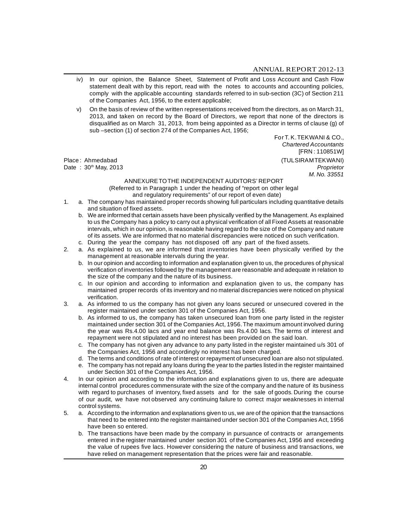#### **ANNUAL REPORT 2012-13**

- **iv) In our opinion, the Balance Sheet, Statement of Profit and Loss Account and Cash Flow statement dealt with by this report, read with the notes to accounts and accounting policies, comply with the applicable accounting standards referred to in sub-section (3C) of Section 211 of the Companies Act, 1956, to the extent applicable;**
- **v) On the basis of review of the written representations received from the directors, as on March 31, 2013, and taken on record by the Board of Directors, we report that none of the directors is disqualified as on March 31, 2013, from being appointed as a Director in terms of clause (g) of sub –section (1) of section 274 of the Companies Act, 1956;**

**For T. K. TEKWANI & CO.,**

*Chartered Accountants* **[FRN : 110851W]**

**Place : Ahmedabad (TULSIRAM TEKWANI) Date : 30th May, 2013** *Proprietor M. No. 33551*

#### **ANNEXURE TO THE INDEPENDENT AUDITORS' REPORT**

**(Referred to in Paragraph 1 under the heading of "report on other legal and regulatory requirements" of our report of even date)**

- **1. a. The company has maintained proper records showing full particulars including quantitative details and situation of fixed assets.**
	- **b. We are informed that certain assets have been physically verified by the Management. As explained to us the Company has a policy to carry out a physical verification of all Fixed Assets at reasonable intervals, which in our opinion, is reasonable having regard to the size of the Company and nature of its assets. We are informed that no material discrepancies were noticed on such verification.**
	- **c. During the year the company has not disposed off any part of the fixed assets.**
- **2. a. As explained to us, we are informed that inventories have been physically verified by the management at reasonable intervals during the year.**
	- **b. In our opinion and according to information and explanation given to us, the procedures of physical verification of inventories followed by the management are reasonable and adequate in relation to the size of the company and the nature of its business.**
	- **c. In our opinion and according to information and explanation given to us, the company has maintained proper records of its inventory and no material discrepancies were noticed on physical verification.**
- **3. a. As informed to us the company has not given any loans secured or unsecured covered in the register maintained under section 301 of the Companies Act, 1956.**
	- **b. As informed to us, the company has taken unsecured loan from one party listed in the register maintained under section 301 of the Companies Act, 1956. The maximum amount involved during the year was Rs.4.00 lacs and year end balance was Rs.4.00 lacs. The terms of interest and repayment were not stipulated and no interest has been provided on the said loan.**
	- **c. The company has not given any advance to any party listed in the register maintained u/s 301 of the Companies Act, 1956 and accordingly no interest has been charged.**
	- **d. The terms and conditions of rate of interest or repayment of unsecured loan are also not stipulated.**
	- **e. The company has not repaid any loans during the year to the parties listed in the register maintained under Section 301 of the Companies Act, 1956.**
- **4. In our opinion and according to the information and explanations given to us, there are adequate internal control procedures commensurate with the size of the company and the nature of its business with regard to purchases of inventory, fixed assets and for the sale of goods. During the course of our audit, we have not observed any continuing failure to correct major weaknesses in internal control systems.**
- **5. a. According to the information and explanations given to us, we are of the opinion that the transactions that need to be entered into the register maintained under section 301 of the Companies Act, 1956 have been so entered.**
	- **b. The transactions have been made by the company in pursuance of contracts or arrangements entered in the register maintained under section 301 of the Companies Act, 1956 and exceeding the value of rupees five lacs. However considering the nature of business and transactions, we have relied on management representation that the prices were fair and reasonable.**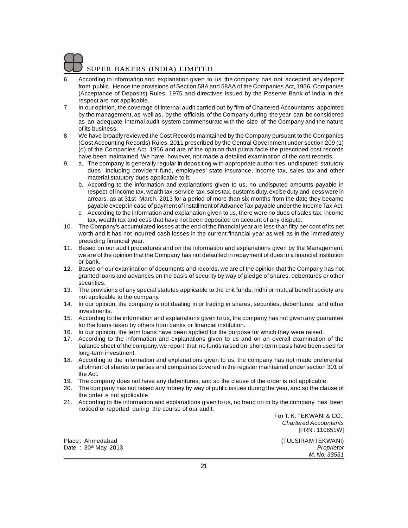- **6. According to information and explanation given to us the company has not accepted any deposit from public. Hence the provisions of Section 58A and 58AA of the Companies Act, 1956, Companies (Acceptance of Deposits) Rules, 1975 and directives issued by the Reserve Bank of India in this respect are not applicable.**
- **7 In our opinion, the coverage of internal audit carried out by firm of Chartered Accountants appointed by the management, as well as, by the officials of the Company during the year can be considered as an adequate internal audit system commensurate with the size of the Company and the nature of its business.**
- **8 We have broadly reviewed the Cost Records maintained by the Company pursuant to the Companies (Cost Accounting Records) Rules, 2011 prescribed by the Central Government under section 209 (1) (d) of the Companies Act, 1956 and are of the opinion that prima facie the prescribed cost records have been maintained. We have, however, not made a detailed examination of the cost records.**
- **9. a. The company is generally regular in depositing with appropriate authorities undisputed statutory dues including provident fund, employees' state insurance, income tax, sales tax and other material statutory dues applicable to it.**
	- **b. According to the information and explanations given to us, no undisputed amounts payable in respect of income tax, wealth tax, service tax, sales tax, customs duty, excise duty and cess were in arrears, as at 31st March, 2013 for a period of more than six months from the date they became payable except in case of payment of installment of Advance Tax payable under the Income Tax Act.**
	- **c. According to the information and explanation given to us, there were no dues of sales tax, income tax, wealth tax and cess that have not been deposited on account of any dispute.**
- **10. The Company's accumulated losses at the end of the financial year are less than fifty per cent of its net worth and it has not incurred cash losses in the current financial year as well as in the immediately preceding financial year.**
- **11. Based on our audit procedures and on the information and explanations given by the Management, we are of the opinion that the Company has not defaulted in repayment of dues to a financial institution or bank.**
- **12. Based on our examination of documents and records, we are of the opinion that the Company has not granted loans and advances on the basis of security by way of pledge of shares, debentures or other securities.**
- **13. The provisions of any special statutes applicable to the chit funds, nidhi or mutual benefit society are not applicable to the company.**
- **14. In our opinion, the company is not dealing in or trading in shares, securities, debentures and other investments.**
- **15. According to the information and explanations given to us, the company has not given any guarantee for the loans taken by others from banks or financial institution.**
- **16. In our opinion, the term loans have been applied for the purpose for which they were raised.**
- **17. According to the information and explanations given to us and on an overall examination of the balance sheet of the company, we report that no funds raised on short-term basis have been used for long-term investment.**
- **18. According to the information and explanations given to us, the company has not made preferential allotment of shares to parties and companies covered in the register maintained under section 301 of the Act.**
- **19. The company does not have any debentures, and so the clause of the order is not applicable.**
- **20. The company has not raised any money by way of public issues during the year, and so the clause of the order is not applicable**
- **21. According to the information and explanations given to us, no fraud on or by the company has been noticed or reported during the course of our audit.**

**For T. K. TEKWANI & CO.,** *Chartered Accountants* **[FRN : 110851W]**

**Place : Ahmedabad (TULSIRAM TEKWANI) Date : 30th May, 2013** *Proprietor M. No. 33551*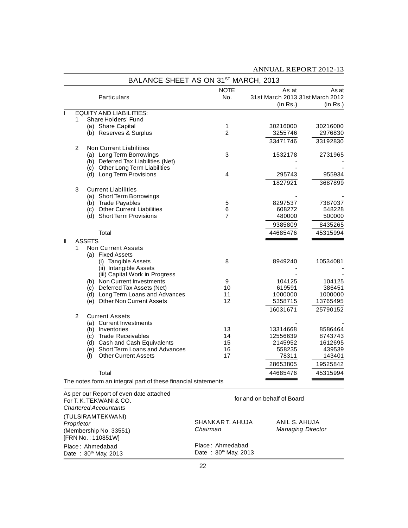|              |                                                               | <b>NOTE</b>    | As at                           | As at    |
|--------------|---------------------------------------------------------------|----------------|---------------------------------|----------|
|              | <b>Particulars</b>                                            | No.            | 31st March 2013 31st March 2012 |          |
|              |                                                               |                | (in Rs.)                        | (in Rs.) |
| T            | <b>EQUITY AND LIABILITIES:</b>                                |                |                                 |          |
| 1            | <b>Share Holders' Fund</b>                                    |                |                                 |          |
|              | (a) Share Capital                                             | 1              | 30216000                        | 30216000 |
|              | (b) Reserves & Surplus                                        | $\overline{2}$ | 3255746                         | 2976830  |
|              |                                                               |                | 33471746                        | 33192830 |
| $\mathbf{2}$ | <b>Non Current Liabilities</b>                                |                |                                 |          |
|              | (a) Long Term Borrowings                                      | 3              | 1532178                         | 2731965  |
|              | (b) Deferred Tax Liabilities (Net)                            |                |                                 |          |
|              | (c) Other Long Term Liabilities                               |                |                                 |          |
|              | (d) Long Term Provisions                                      | 4              | 295743                          | 955934   |
|              |                                                               |                | 1827921                         | 3687899  |
| 3            | <b>Current Liabilities</b>                                    |                |                                 |          |
|              | (a) Short Term Borrowings                                     |                |                                 |          |
|              | (b) Trade Payables                                            | 5              | 8297537                         | 7387037  |
|              | (c) Other Current Liabilities                                 | 6              | 608272                          | 548228   |
|              | (d) Short Term Provisions                                     | $\overline{7}$ | 480000                          | 500000   |
|              |                                                               |                |                                 |          |
|              |                                                               |                | 9385809                         | 8435265  |
|              | Total                                                         |                | 44685476                        | 45315994 |
| Ш            | <b>ASSETS</b>                                                 |                |                                 |          |
| 1            | <b>Non Current Assets</b>                                     |                |                                 |          |
|              | (a) Fixed Assets                                              |                |                                 |          |
|              | (i) Tangible Assets                                           | 8              | 8949240                         | 10534081 |
|              | (ii) Intangible Assets                                        |                |                                 |          |
|              | (iii) Capital Work in Progress                                |                |                                 |          |
|              | (b) Non Current Investments                                   | 9              | 104125                          | 104125   |
|              | (c) Deferred Tax Assets (Net)                                 | 10             | 619591                          | 386451   |
|              | (d) Long Term Loans and Advances                              | 11             | 1000000                         | 1000000  |
|              | (e) Other Non Current Assets                                  | 12             | 5358715                         | 13765495 |
|              |                                                               |                | 16031671                        | 25790152 |
| $\mathbf{2}$ | <b>Current Assets</b>                                         |                |                                 |          |
|              | (a) Current Investments                                       |                |                                 |          |
|              | (b) Inventories                                               | 13             | 13314668                        | 8586464  |
|              | (c) Trade Receivables                                         | 14             | 12556639                        | 8743743  |
|              | (d) Cash and Cash Equivalents                                 | 15             | 2145952                         | 1612695  |
|              | (e) Short Term Loans and Advances                             | 16             | 558235                          | 439539   |
|              | <b>Other Current Assets</b><br>(f)                            | 17             | 78311                           | 143401   |
|              |                                                               |                | 28653805                        | 19525842 |
|              |                                                               |                |                                 |          |
|              | Total                                                         |                | 44685476                        | 45315994 |
|              | The notes form an integral part of these financial statements |                |                                 |          |
|              | As per our Report of even date attached                       |                | for and on behalf of Board      |          |
|              | For T. K. TEKWANI & CO.                                       |                |                                 |          |
|              | <b>Chartered Accountants</b>                                  |                |                                 |          |
|              | (TULSIRAMTEKWANI)                                             |                |                                 |          |

**ANNUAL REPORT 2012-13**

**SHANKAR T. AHUJA ANIL S. AHUJA Managing Director** 

| (TULSIRAMTEKWANI)      |                         |
|------------------------|-------------------------|
| Proprietor             | <b>SHANKAR T. AHUJA</b> |
| (Membership No. 33551) | Chairman                |
| [FRN No. : 110851W]    |                         |
| Place: Ahmedabad       | Place: Ahmedabad        |

**Date : 30th May, 2013**

**Date : 30th May, 2013**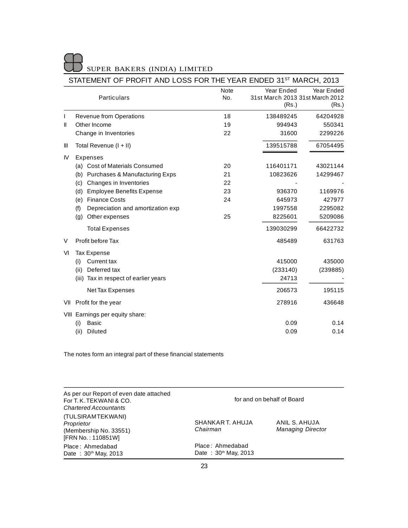|              | STATEMENT OF PROFIT AND LOSS FOR THE YEAR ENDED 31 <sup>st</sup> MARCH, 2013 |                    |                                                               |                     |
|--------------|------------------------------------------------------------------------------|--------------------|---------------------------------------------------------------|---------------------|
|              | <b>Particulars</b>                                                           | <b>Note</b><br>No. | <b>Year Ended</b><br>31st March 2013 31st March 2012<br>(Rs.) | Year Ended<br>(Rs.) |
| I            | <b>Revenue from Operations</b>                                               | 18                 | 138489245                                                     | 64204928            |
| $\mathbf{I}$ | Other Income                                                                 | 19                 | 994943                                                        | 550341              |
|              | Change in Inventories                                                        | 22                 | 31600                                                         | 2299226             |
| Ш            | Total Revenue (I + II)                                                       |                    | 139515788                                                     | 67054495            |
| IV           | <b>Expenses</b>                                                              |                    |                                                               |                     |
|              | (a) Cost of Materials Consumed                                               | 20                 | 116401171                                                     | 43021144            |
|              | (b) Purchases & Manufacturing Exps                                           | 21                 | 10823626                                                      | 14299467            |
|              | Changes in Inventories<br>(c)                                                | 22                 |                                                               |                     |
|              | <b>Employee Benefits Expense</b><br>(d)                                      | 23                 | 936370                                                        | 1169976             |
|              | (e) Finance Costs                                                            | 24                 | 645973                                                        | 427977              |
|              | (f)<br>Depreciation and amortization exp                                     |                    | 1997558                                                       | 2295082             |
|              | Other expenses<br>(g)                                                        | 25                 | 8225601                                                       | 5209086             |
|              | <b>Total Expenses</b>                                                        |                    | 139030299                                                     | 66422732            |
| V            | Profit before Tax                                                            |                    | 485489                                                        | 631763              |
| VI           | <b>Tax Expense</b>                                                           |                    |                                                               |                     |
|              | <b>Current tax</b><br>(i)                                                    |                    | 415000                                                        | 435000              |
|              | Deferred tax<br>(ii)                                                         |                    | (233140)                                                      | (239885)            |
|              | (iii) Tax in respect of earlier years                                        |                    | 24713                                                         |                     |
|              | Net Tax Expenses                                                             |                    | 206573                                                        | 195115              |
|              | VII Profit for the year                                                      |                    | 278916                                                        | 436648              |
|              | VIII Earnings per equity share:                                              |                    |                                                               |                     |
|              | <b>Basic</b><br>(i)                                                          |                    | 0.09                                                          | 0.14                |
|              | (ii)<br><b>Diluted</b>                                                       |                    | 0.09                                                          | 0.14                |

**The notes form an integral part of these financial statements**

| As per our Report of even date attached<br>For <b>T. K. TEKWANI &amp; CO.</b><br><b>Chartered Accountants</b> | for and on behalf of Board                    |                                                  |
|---------------------------------------------------------------------------------------------------------------|-----------------------------------------------|--------------------------------------------------|
| (TULSIRAMTEKWANI)<br>Proprietor<br>(Membership No. 33551)<br>[FRN No.: 110851W]                               | <b>SHANKAR T. AHUJA</b><br>Chairman           | <b>ANIL S. AHUJA</b><br><b>Managing Director</b> |
| Place: Ahmedabad<br>Date: 30 <sup>th</sup> May, 2013                                                          | Place: Ahmedabad<br>Date: $30^{th}$ May, 2013 |                                                  |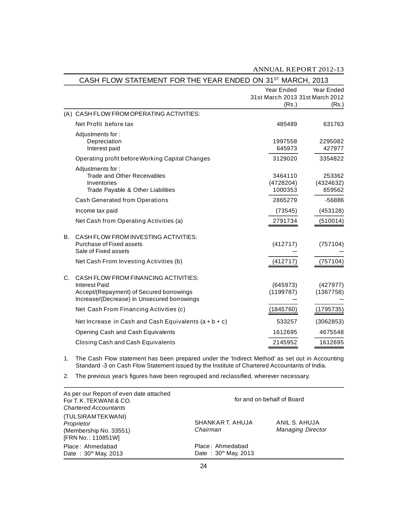**ANNUAL REPORT 2012-13**

|           |                                                                                                                                                                | <b>Year Ended</b>               | Year Ended<br>31st March 2013 31st March 2012 |
|-----------|----------------------------------------------------------------------------------------------------------------------------------------------------------------|---------------------------------|-----------------------------------------------|
|           | (A) CASH FLOW FROM OPERATING ACTIVITIES:                                                                                                                       | (Rs.)                           | (Rs.)                                         |
|           | Net Profit before tax                                                                                                                                          | 485489                          | 631763                                        |
|           | Adjustments for:<br>Depreciation<br>Interest paid                                                                                                              | 1997558<br>645973               | 2295082<br>427977                             |
|           | <b>Operating profit before Working Capital Changes</b>                                                                                                         | 3129020                         | 3354822                                       |
|           | Adjustments for:<br><b>Trade and Other Receivables</b><br>Inventories<br>Trade Payable & Other Liabilities                                                     | 3464110<br>(4728204)<br>1000353 | 253362<br>(4324632)<br>659562                 |
|           | <b>Cash Generated from Operations</b>                                                                                                                          | 2865279                         | $-56886$                                      |
|           | Income tax paid                                                                                                                                                | (73545)                         | (453128)                                      |
|           | <b>Net Cash from Operating Activities (a)</b>                                                                                                                  | 2791734                         | (510014)                                      |
| <b>B.</b> | <b>CASH FLOW FROM INVESTING ACTIVITIES:</b><br>Purchase of Fixed assets<br>Sale of Fixed assets                                                                | (412717)                        | (757104)                                      |
|           | <b>Net Cash From Investing Activities (b)</b>                                                                                                                  | (412717                         | (757104)                                      |
| C.        | <b>CASH FLOW FROM FINANCING ACTIVITIES:</b><br><b>Interest Paid</b><br>Accept/(Repayment) of Secured borrowings<br>Increase/(Decrease) in Unsecured borrowings | (645973)<br>(1199787)           | (427977)<br>(1367758)                         |
|           | <b>Net Cash From Financing Activities (c)</b>                                                                                                                  | (1845760)                       | (1795735)                                     |
|           | Net Increase in Cash and Cash Equivalents $(a + b + c)$                                                                                                        | 533257                          | (3062853)                                     |
|           | Opening Cash and Cash Equivalents                                                                                                                              | 1612695                         | 4675548                                       |
|           | <b>Closing Cash and Cash Equivalents</b>                                                                                                                       | 2145952                         | 1612695                                       |
|           |                                                                                                                                                                |                                 |                                               |

#### **CASH FLOW STATEMENT FOR THE YEAR ENDED ON 31ST MARCH, 2013**

**1. The Cash Flow statement has been prepared under the 'Indirect Method' as set out in Accounting Standard -3 on Cash Flow Statement issued by the Institute of Chartered Accountants of India.**

**2. The previous year's figures have been regrouped and reclassified, wherever necessary.**

| As per our Report of even date attached<br>For T. K. TEKWANI & CO.<br><b>Chartered Accountants</b> | for and on behalf of Board                           |                                                  |
|----------------------------------------------------------------------------------------------------|------------------------------------------------------|--------------------------------------------------|
| (TULSIRAMTEKWANI)<br>Proprietor<br>(Membership No. 33551)<br>[FRN No.: 110851W]                    | <b>SHANKART, AHUJA</b><br>Chairman                   | <b>ANIL S. AHUJA</b><br><b>Managing Director</b> |
| Place: Ahmedabad<br>Date: $30^{th}$ May, 2013                                                      | Place: Ahmedabad<br>Date: 30 <sup>th</sup> May, 2013 |                                                  |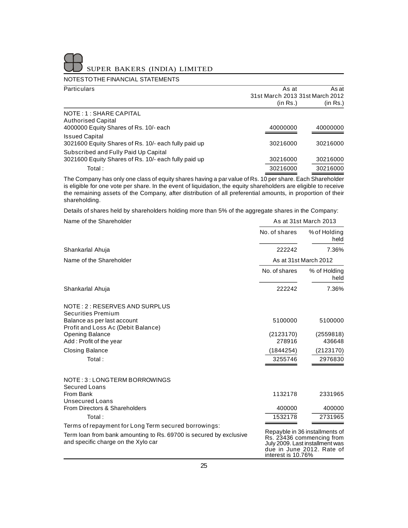**NOTES TO THE FINANCIAL STATEMENTS**

| <b>Particulars</b>                                   | As at                             | As at    |  |
|------------------------------------------------------|-----------------------------------|----------|--|
|                                                      | 31 st March 2013 31 st March 2012 |          |  |
|                                                      | (in Rs.)                          | (in Rs.) |  |
| <b>NOTE: 1: SHARE CAPITAL</b>                        |                                   |          |  |
| <b>Authorised Capital</b>                            |                                   |          |  |
| 4000000 Equity Shares of Rs. 10/- each               | 40000000                          | 40000000 |  |
| <b>Issued Capital</b>                                |                                   |          |  |
| 3021600 Equity Shares of Rs. 10/- each fully paid up | 30216000                          | 30216000 |  |
| <b>Subscribed and Fully Paid Up Capital</b>          |                                   |          |  |
| 3021600 Equity Shares of Rs. 10/- each fully paid up | 30216000                          | 30216000 |  |
| Total:                                               | 30216000                          | 30216000 |  |

**The Company has only one class of equity shares having a par value of Rs. 10 per share. Each Shareholder is eligible for one vote per share. In the event of liquidation, the equity shareholders are eligible to receive the remaining assets of the Company, after distribution of all preferential amounts, in proportion of their shareholding.**

**Details of shares held by shareholders holding more than 5% of the aggregate shares in the Company:**

| Name of the Shareholder                                                                                                                                           | As at 31st March 2013 |                                                                                                                             |  |
|-------------------------------------------------------------------------------------------------------------------------------------------------------------------|-----------------------|-----------------------------------------------------------------------------------------------------------------------------|--|
|                                                                                                                                                                   | No. of shares         | % of Holding<br>held                                                                                                        |  |
| Shankarlal Ahuja                                                                                                                                                  | 222242                | 7.36%                                                                                                                       |  |
| Name of the Shareholder                                                                                                                                           |                       | As at 31st March 2012                                                                                                       |  |
|                                                                                                                                                                   | No. of shares         | % of Holding<br>held                                                                                                        |  |
| Shankarlal Ahuja                                                                                                                                                  | 222242                | 7.36%                                                                                                                       |  |
| <b>NOTE: 2: RESERVES AND SURPLUS</b><br><b>Securities Premium</b>                                                                                                 |                       |                                                                                                                             |  |
| Balance as per last account<br><b>Profit and Loss Ac (Debit Balance)</b>                                                                                          | 5100000               | 5100000                                                                                                                     |  |
| Opening Balance                                                                                                                                                   | (2123170)             | (2559818)                                                                                                                   |  |
| Add: Profit of the year                                                                                                                                           | 278916                | 436648                                                                                                                      |  |
| <b>Closing Balance</b>                                                                                                                                            | (1844254)             | (2123170)                                                                                                                   |  |
| Total:                                                                                                                                                            | 3255746               | 2976830                                                                                                                     |  |
| <b>NOTE: 3: LONGTERM BORROWINGS</b><br><b>Secured Loans</b>                                                                                                       |                       |                                                                                                                             |  |
| From Bank                                                                                                                                                         | 1132178               | 2331965                                                                                                                     |  |
| <b>Unsecured Loans</b>                                                                                                                                            |                       |                                                                                                                             |  |
| From Directors & Shareholders                                                                                                                                     | 400000                | 400000                                                                                                                      |  |
| Total:                                                                                                                                                            | 1532178               | 2731965                                                                                                                     |  |
| Terms of repayment for Long Term secured borrowings:<br>Term loan from bank amounting to Rs. 69700 is secured by exclusive<br>and specific charge on the Xylo car | interest is 10.76%    | Repayble in 36 installments of<br>Rs. 23436 commencing from<br>July 2009. Last installment was<br>due in June 2012. Rate of |  |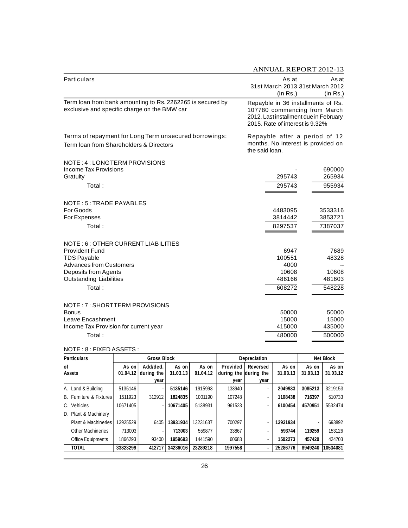#### **ANNUAL REPORT 2012-13**

| <b>Particulars</b>                                                                                         | As at<br>31st March 2013 31st March 2012<br>(in Rs.)                                                                                            | As at<br>(in Rs.) |
|------------------------------------------------------------------------------------------------------------|-------------------------------------------------------------------------------------------------------------------------------------------------|-------------------|
| Term loan from bank amounting to Rs. 2262265 is secured by<br>exclusive and specific charge on the BMW car | Repayble in 36 installments of Rs.<br>107780 commencing from March<br>2012. Last installment due in February<br>2015. Rate of interest is 9.32% |                   |
| Terms of repayment for Long Term unsecured borrowings:<br>Term Ioan from Shareholders & Directors          | Repayble after a period of 12<br>months. No interest is provided on<br>the said loan.                                                           |                   |
| <b>NOTE: 4: LONGTERM PROVISIONS</b>                                                                        |                                                                                                                                                 |                   |
| Income Tax Provisions                                                                                      |                                                                                                                                                 | 690000            |
| Gratuity                                                                                                   | 295743                                                                                                                                          | 265934            |
| Total:                                                                                                     | 295743                                                                                                                                          | 955934            |
| <b>NOTE: 5: TRADE PAYABLES</b>                                                                             |                                                                                                                                                 |                   |
| For Goods                                                                                                  | 4483095                                                                                                                                         | 3533316           |
| For Expenses                                                                                               | 3814442                                                                                                                                         | 3853721           |
| Total:                                                                                                     | 8297537                                                                                                                                         | 7387037           |
| <b>NOTE: 6: OTHER CURRENT LIABILITIES</b>                                                                  |                                                                                                                                                 |                   |
| <b>Provident Fund</b>                                                                                      | 6947                                                                                                                                            | 7689              |
| <b>TDS Payable</b>                                                                                         | 100551                                                                                                                                          | 48328             |
| <b>Advances from Customers</b>                                                                             | 4000                                                                                                                                            |                   |
| Deposits from Agents                                                                                       | 10608<br>486166                                                                                                                                 | 10608             |
| <b>Outstanding Liabilities</b>                                                                             |                                                                                                                                                 | 481603            |
| Total:                                                                                                     | 608272                                                                                                                                          | 548228            |
| <b>NOTE: 7: SHORTTERM PROVISIONS</b>                                                                       |                                                                                                                                                 |                   |
| <b>Bonus</b>                                                                                               | 50000                                                                                                                                           | 50000             |
| Leave Encashment                                                                                           | 15000                                                                                                                                           | 15000             |
| Income Tax Provision for current year                                                                      | 415000                                                                                                                                          | 435000            |
| Total:                                                                                                     | 480000                                                                                                                                          | 500000            |
|                                                                                                            |                                                                                                                                                 |                   |

#### **NOTE : 8 : FIXED ASSETS :**

| <b>Particulars</b>  |                                |                   | <b>Gross Block</b>             |                   |                   | <b>Depreciation</b>                   |                                | <b>Net Block</b>  |                   |                   |
|---------------------|--------------------------------|-------------------|--------------------------------|-------------------|-------------------|---------------------------------------|--------------------------------|-------------------|-------------------|-------------------|
| οf<br><b>Assets</b> |                                | As on<br>01.04.12 | Add/ded.<br>during the<br>year | As on<br>31.03.13 | As on<br>01.04.12 | <b>Provided</b><br>during the<br>year | Reversed<br>during the<br>year | As on<br>31.03.13 | As on<br>31.03.13 | As on<br>31.03.12 |
|                     | A. Land & Building             | 5135146           |                                | 5135146           | 1915993           | 133940                                | $\overline{\phantom{a}}$       | 2049933           | 3085213           | 3219153           |
|                     | <b>B.</b> Furniture & Fixtures | 1511923           | 312912                         | 1824835           | 1001190           | 107248                                | $\overline{\phantom{a}}$       | 1108438           | 716397            | 510733            |
|                     | C. Vehicles                    | 10671405          | $\overline{\phantom{a}}$       | 10671405          | 5138931           | 961523                                | $\overline{\phantom{a}}$       | 6100454           | 4570951           | 5532474           |
|                     | D. Plant & Machinery           |                   |                                |                   |                   |                                       |                                |                   |                   |                   |
|                     | Plant & Machineries            | 13925529          | 6405                           | 13931934          | 13231637          | 700297                                | $\overline{\phantom{a}}$       | 13931934          |                   | 693892            |
|                     | <b>Other Machineries</b>       | 713003            | $\overline{\phantom{a}}$       | 713003            | 559877            | 33867                                 | $\overline{\phantom{a}}$       | 593744            | 119259            | 153126            |
|                     | Office Equipments              | 1866293           | 93400                          | 1959693           | 1441590           | 60683                                 | $\overline{\phantom{a}}$       | 1502273           | 457420            | 424703            |
|                     | <b>TOTAL</b>                   | 33823299          | 412717                         | 34236016          | 23289218          | 1997558                               | ٠                              | 25286776          | 8949240           | 10534081          |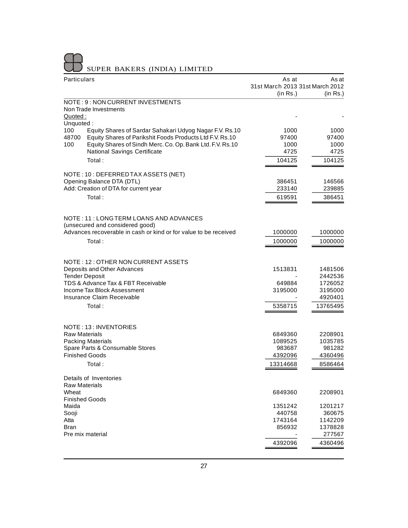| <b>Particulars</b> |                                                                                                                     | As at                                       | As at         |
|--------------------|---------------------------------------------------------------------------------------------------------------------|---------------------------------------------|---------------|
|                    |                                                                                                                     | 31st March 2013 31st March 2012<br>(in Rs.) | (in Rs.)      |
|                    | <b>NOTE: 9: NON CURRENT INVESTMENTS</b>                                                                             |                                             |               |
|                    | Non Trade Investments                                                                                               |                                             |               |
| Quoted:            |                                                                                                                     |                                             |               |
| Unquoted:          |                                                                                                                     |                                             |               |
| 100<br>48700       | Equity Shares of Sardar Sahakari Udyog Nagar F.V. Rs.10<br>Equity Shares of Parikshit Foods Products Ltd F.V. Rs.10 | 1000<br>97400                               | 1000<br>97400 |
| 100                | Equity Shares of Sindh Merc. Co. Op. Bank Ltd. F.V. Rs. 10                                                          | 1000                                        | 1000          |
|                    | National Savings Certificate                                                                                        | 4725                                        | 4725          |
|                    | Total:                                                                                                              | 104125                                      | 104125        |
|                    | <b>NOTE: 10: DEFERREDTAX ASSETS (NET)</b>                                                                           |                                             |               |
|                    | Opening Balance DTA (DTL)                                                                                           | 386451                                      | 146566        |
|                    | Add: Creation of DTA for current year                                                                               | 233140                                      | 239885        |
|                    | Total:                                                                                                              | 619591                                      | 386451        |
|                    |                                                                                                                     |                                             |               |
|                    | <b>NOTE : 11 : LONGTERM LOANS AND ADVANCES</b>                                                                      |                                             |               |
|                    | (unsecured and considered good)<br>Advances recoverable in cash or kind or for value to be received                 | 1000000                                     | 1000000       |
|                    | Total:                                                                                                              | 1000000                                     | 1000000       |
|                    |                                                                                                                     |                                             |               |
|                    | <b>NOTE : 12 : OTHER NON CURRENT ASSETS</b>                                                                         |                                             |               |
|                    | Deposits and Other Advances                                                                                         | 1513831                                     | 1481506       |
|                    | <b>Tender Deposit</b>                                                                                               |                                             | 2442536       |
|                    | TDS & Advance Tax & FBT Receivable                                                                                  | 649884                                      | 1726052       |
|                    | Income Tax Block Assessment                                                                                         | 3195000                                     | 3195000       |
|                    | Insurance Claim Receivable                                                                                          |                                             | 4920401       |
|                    | Total:                                                                                                              | 5358715                                     | 13765495      |
|                    |                                                                                                                     |                                             |               |
|                    | <b>NOTE: 13: INVENTORIES</b><br><b>Raw Materials</b>                                                                | 6849360                                     | 2208901       |
|                    | <b>Packing Materials</b>                                                                                            | 1089525                                     | 1035785       |
|                    | Spare Parts & Consumable Stores                                                                                     | 983687                                      | 981282        |
|                    | <b>Finished Goods</b>                                                                                               | 4392096                                     | 4360496       |
|                    | Total :                                                                                                             | 13314668                                    | 8586464       |
|                    | Details of Inventories                                                                                              |                                             |               |
|                    | <b>Raw Materials</b>                                                                                                |                                             |               |
| Wheat              |                                                                                                                     | 6849360                                     | 2208901       |
| Maida              | <b>Finished Goods</b>                                                                                               | 1351242                                     | 1201217       |
| Sooji              |                                                                                                                     | 440758                                      | 360675        |
| Atta               |                                                                                                                     | 1743164                                     | 1142209       |
| Bran               |                                                                                                                     | 856932                                      | 1378828       |
|                    | Pre mix material                                                                                                    |                                             | 277567        |
|                    |                                                                                                                     | 4392096                                     | 4360496       |
|                    |                                                                                                                     |                                             |               |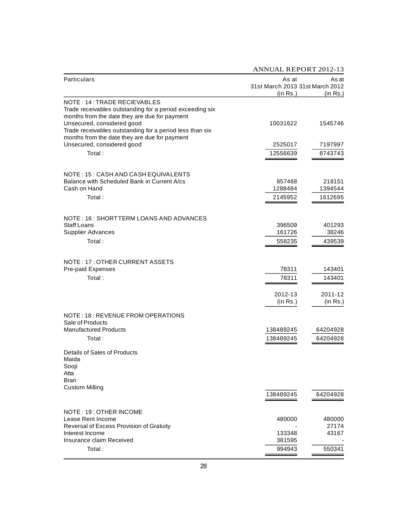**ANNUAL REPORT 2012-13**

| <b>Particulars</b>                                                                                                                              | As at                                       | As at           |
|-------------------------------------------------------------------------------------------------------------------------------------------------|---------------------------------------------|-----------------|
|                                                                                                                                                 | 31st March 2013 31st March 2012<br>(in Rs.) | (in Rs.)        |
| <b>NOTE: 14: TRADE RECIEVABLES</b><br>Trade receivables outstanding for a period exceeding six<br>months from the date they are due for payment |                                             |                 |
| Unsecured, considered good<br>Trade receivables outstanding for a period less than six<br>months from the date they are due for payment         | 10031622                                    | 1545746         |
| Unsecured, considered good                                                                                                                      | 2525017                                     | 7197997         |
| Total:                                                                                                                                          | 12556639                                    | 8743743         |
| <b>NOTE: 15: CASH AND CASH EQUIVALENTS</b>                                                                                                      |                                             |                 |
| Balance with Scheduled Bank in Current A/cs                                                                                                     | 857468                                      | 218151          |
| Cash on Hand                                                                                                                                    | 1288484                                     | 1394544         |
| Total:                                                                                                                                          | 2145952                                     | 1612695         |
| <b>NOTE: 16: SHORTTERM LOANS AND ADVANCES</b>                                                                                                   |                                             |                 |
| Staff Loans                                                                                                                                     | 396509                                      | 401293          |
| <b>Supplier Advances</b>                                                                                                                        | 161726                                      | 38246           |
| Total:                                                                                                                                          | 558235                                      | 439539          |
|                                                                                                                                                 |                                             |                 |
| <b>NOTE: 17: OTHER CURRENT ASSETS</b><br>Pre-paid Expenses                                                                                      | 78311                                       | 143401          |
| Total:                                                                                                                                          | 78311                                       | 143401          |
|                                                                                                                                                 |                                             |                 |
|                                                                                                                                                 | 2012-13                                     | 2011-12         |
|                                                                                                                                                 | (in Rs.)                                    | (in Rs.)        |
| <b>NOTE: 18: REVENUE FROM OPERATIONS</b><br>Sale of Products                                                                                    |                                             |                 |
| <b>Manufactured Products</b>                                                                                                                    | 138489245                                   | 64204928        |
| Total:                                                                                                                                          | 138489245                                   | 64204928        |
| Details of Sales of Products<br>Maida<br>Sooji<br>Atta<br>Bran                                                                                  |                                             |                 |
| <b>Custom Milling</b>                                                                                                                           | 138489245                                   | 64204928        |
|                                                                                                                                                 |                                             |                 |
| <b>NOTE: 19: OTHER INCOME</b>                                                                                                                   | 480000                                      |                 |
| Lease Rent Income<br>Reversal of Excess Provision of Gratuity                                                                                   |                                             | 480000<br>27174 |
| Interest Income<br>Insurance claim Received                                                                                                     | 133348<br>381595                            | 43167           |
| Total:                                                                                                                                          | 994943                                      | 550341          |
|                                                                                                                                                 |                                             |                 |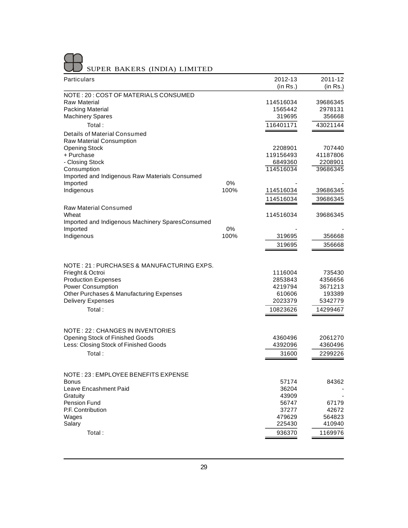| <b>Particulars</b>                                     |       | 2012-13   | 2011-12  |
|--------------------------------------------------------|-------|-----------|----------|
|                                                        |       | (in Rs.)  | (in Rs.) |
| <b>NOTE: 20: COST OF MATERIALS CONSUMED</b>            |       |           |          |
| <b>Raw Material</b>                                    |       | 114516034 | 39686345 |
| <b>Packing Material</b>                                |       | 1565442   | 2978131  |
| <b>Machinery Spares</b>                                |       | 319695    | 356668   |
| Total:                                                 |       | 116401171 | 43021144 |
| <b>Details of Material Consumed</b>                    |       |           |          |
| Raw Material Consumption                               |       |           |          |
| <b>Opening Stock</b>                                   |       | 2208901   | 707440   |
| + Purchase                                             |       | 119156493 | 41187806 |
| - Closing Stock                                        |       | 6849360   | 2208901  |
| Consumption                                            |       | 114516034 | 39686345 |
| Imported and Indigenous Raw Materials Consumed         | 0%    |           |          |
| Imported                                               | 100%  |           |          |
| Indigenous                                             |       | 114516034 | 39686345 |
|                                                        |       | 114516034 | 39686345 |
| <b>Raw Material Consumed</b>                           |       |           |          |
| Wheat                                                  |       | 114516034 | 39686345 |
| Imported and Indigenous Machinery SparesConsumed       |       |           |          |
| Imported                                               | $0\%$ |           |          |
| Indigenous                                             | 100%  | 319695    | 356668   |
|                                                        |       | 319695    | 356668   |
|                                                        |       |           |          |
| <b>NOTE : 21 : PURCHASES &amp; MANUFACTURING EXPS.</b> |       |           |          |
| Frieght & Octroi                                       |       | 1116004   | 735430   |
| <b>Production Expenses</b>                             |       | 2853843   | 4356656  |
| Power Consumption                                      |       | 4219794   | 3671213  |
| Other Purchases & Manufacturing Expenses               |       | 610606    | 193389   |
| <b>Delivery Expenses</b>                               |       | 2023379   | 5342779  |
| Total:                                                 |       | 10823626  | 14299467 |
|                                                        |       |           |          |
| <b>NOTE: 22: CHANGES IN INVENTORIES</b>                |       |           |          |
| Opening Stock of Finished Goods                        |       | 4360496   | 2061270  |
| Less: Closing Stock of Finished Goods                  |       | 4392096   | 4360496  |
| Total:                                                 |       | 31600     | 2299226  |
|                                                        |       |           |          |
| <b>NOTE : 23 : EMPLOYEE BENEFITS EXPENSE</b>           |       |           |          |
| <b>Bonus</b>                                           |       | 57174     | 84362    |
| Leave Encashment Paid                                  |       | 36204     |          |
| Gratuity                                               |       | 43909     |          |
| Pension Fund                                           |       | 56747     | 67179    |
| P.F. Contribution                                      |       | 37277     | 42672    |
| Wages                                                  |       | 479629    | 564823   |
| Salary                                                 |       | 225430    | 410940   |
| Total:                                                 |       | 936370    | 1169976  |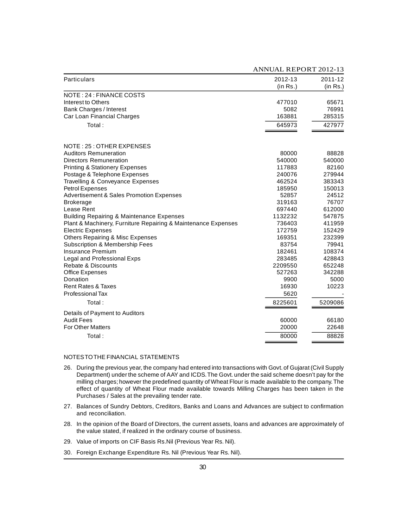|                                                               | <b>ANNUAL REPORT 2012-13</b> |          |
|---------------------------------------------------------------|------------------------------|----------|
| <b>Particulars</b>                                            | 2012-13                      | 2011-12  |
|                                                               | (in Rs.)                     | (in Rs.) |
| <b>NOTE: 24 : FINANCE COSTS</b>                               |                              |          |
| Interest to Others                                            | 477010                       | 65671    |
| <b>Bank Charges / Interest</b>                                | 5082                         | 76991    |
| Car Loan Financial Charges                                    | 163881                       | 285315   |
| Total:                                                        | 645973                       | 427977   |
| <b>NOTE: 25: OTHER EXPENSES</b>                               |                              |          |
| <b>Auditors Remuneration</b>                                  | 80000                        | 88828    |
| Directors Remuneration                                        | 540000                       | 540000   |
| <b>Printing &amp; Stationery Expenses</b>                     | 117883                       | 82160    |
| Postage & Telephone Expenses                                  | 240076                       | 279944   |
| Travelling & Conveyance Expenses                              | 462524                       | 383343   |
| Petrol Expenses                                               | 185950                       | 150013   |
| Advertisement & Sales Promotion Expenses                      | 52857                        | 24512    |
| <b>Brokerage</b>                                              | 319163                       | 76707    |
| Lease Rent                                                    | 697440                       | 612000   |
| <b>Building Repairing &amp; Maintenance Expenses</b>          | 1132232                      | 547875   |
| Plant & Machinery, Furniture Repairing & Maintenance Expenses | 736403                       | 411959   |
| <b>Electric Expenses</b>                                      | 172759                       | 152429   |
| <b>Others Repairing &amp; Misc Expenses</b>                   | 169351                       | 232399   |
| Subscription & Membership Fees                                | 83754                        | 79941    |
| <b>Insurance Premium</b>                                      | 182461                       | 108374   |
| Legal and Professional Exps                                   | 283485                       | 428843   |
| Rebate & Discounts                                            | 2209550                      | 652248   |
| Office Expenses                                               | 527263                       | 342288   |
| Donation                                                      | 9900                         | 5000     |
| <b>Rent Rates &amp; Taxes</b>                                 | 16930                        | 10223    |
| <b>Professional Tax</b>                                       | 5620                         |          |
| Total :                                                       | 8225601                      | 5209086  |
| Details of Payment to Auditors                                |                              |          |
| <b>Audit Fees</b>                                             | 60000                        | 66180    |
| <b>For Other Matters</b>                                      | 20000                        | 22648    |
| Total:                                                        | 80000                        | 88828    |

#### **NOTES TO THE FINANCIAL STATEMENTS**

- **26. During the previous year, the company had entered into transactions with Govt. of Gujarat (Civil Supply Department) under the scheme of AAY and ICDS. The Govt. under the said scheme doesn't pay for the milling charges; however the predefined quantity of Wheat Flour is made available to the company. The effect of quantity of Wheat Flour made available towards Milling Charges has been taken in the Purchases / Sales at the prevailing tender rate.**
- **27. Balances of Sundry Debtors, Creditors, Banks and Loans and Advances are subject to confirmation and reconciliation.**
- **28. In the opinion of the Board of Directors, the current assets, loans and advances are approximately of the value stated, if realized in the ordinary course of business.**
- **29. Value of imports on CIF Basis Rs.Nil (Previous Year Rs. Nil).**
- **30. Foreign Exchange Expenditure Rs. Nil (Previous Year Rs. Nil).**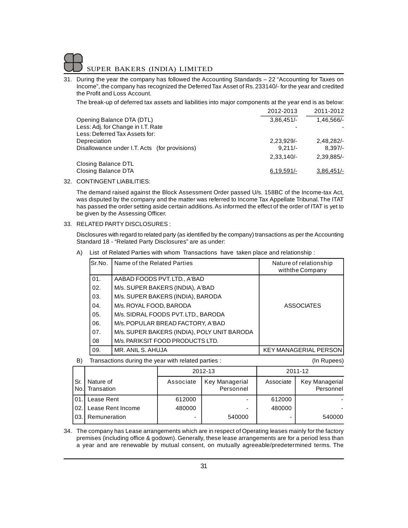

**31. During the year the company has followed the Accounting Standards – 22 "Accounting for Taxes on Income", the company has recognized the Deferred Tax Asset of Rs. 233140/- for the year and credited the Profit and Loss Account.**

**The break-up of deferred tax assets and liabilities into major components at the year end is as below:**

|                                               | 2012-2013    | 2011-2012    |
|-----------------------------------------------|--------------|--------------|
| Opening Balance DTA (DTL)                     | $3,86,451/-$ | 1.46.566/-   |
| Less: Adj. for Change in I.T. Rate            |              |              |
| Less: Deferred Tax Assets for:                |              |              |
| Depreciation                                  | 2,23,929/-   | $2,48,282/-$ |
| Disallowance under I.T. Acts (for provisions) | $9.211/-$    | $8.397/-$    |
|                                               | $2.33.140/-$ | $2.39.885/-$ |
| Closing Balance DTL                           |              |              |
| Closing Balance DTA                           | $6,19,591/-$ | $3,86,451/-$ |
|                                               |              |              |

**32. CONTINGENT LIABILITIES:**

**The demand raised against the Block Assessment Order passed U/s. 158BC of the Income-tax Act, was disputed by the company and the matter was referred to Income Tax Appellate Tribunal. The ITAT has passed the order setting aside certain additions. As informed the effect of the order of ITAT is yet to be given by the Assessing Officer.**

#### **33. RELATED PARTY DISCLOSURES :**

**Disclosures with regard to related party (as identified by the company) transactions as per the Accounting Standard 18 - "Related Party Disclosures" are as under:**

**A) List of Related Parties with whom Transactions have taken place and relationship :**

| Sr.No.                                                                                                                                                                          | Name of the Related Parties                 | Nature of relationship<br>with the Company |  |  |
|---------------------------------------------------------------------------------------------------------------------------------------------------------------------------------|---------------------------------------------|--------------------------------------------|--|--|
| 01.                                                                                                                                                                             | AABAD FOODS PVT. LTD., A'BAD                |                                            |  |  |
| 02.                                                                                                                                                                             | M/s. SUPER BAKERS (INDIA), A'BAD            |                                            |  |  |
| 03.                                                                                                                                                                             | M/s. SUPER BAKERS (INDIA), BARODA           |                                            |  |  |
| 04.                                                                                                                                                                             | M/s. ROYAL FOOD, BARODA                     | <b>ASSOCIATES</b>                          |  |  |
| 05.                                                                                                                                                                             | M/s. SIDRAL FOODS PVT. LTD., BARODA         |                                            |  |  |
| 06.                                                                                                                                                                             | M/s. POPULAR BREAD FACTORY, A'BAD           |                                            |  |  |
| 07.                                                                                                                                                                             | M/s. SUPER BAKERS (INDIA), POLY UNIT BARODA |                                            |  |  |
| 08                                                                                                                                                                              | M/s. PARIKSIT FOOD PRODUCTS LTD.            |                                            |  |  |
| 09.                                                                                                                                                                             | MR. ANIL S. AHUJA                           | <b>KEY MANAGERIAL PERSON</b>               |  |  |
| Tanan na katalonini ali salah kalendar dan banyak dan banyak banyak banyak banyak banyak banyak banyak banyak<br>$\left( \begin{array}{ccc} 1 & \cdots & 1 \end{array} \right)$ |                                             |                                            |  |  |

**B) Transactions during the year with related parties : (In Rupees)**

|             |                         | 2012-13          |                                           | 2011-12   |                             |
|-------------|-------------------------|------------------|-------------------------------------------|-----------|-----------------------------|
| Sr.<br>No.l | Nature of<br>Transation | <b>Associate</b> | <b>Key Managerial</b><br><b>Personnel</b> | Associate | Key Managerial<br>Personnel |
| '01.        | Lease Rent              | 612000           |                                           | 612000    |                             |
| 02.1        | Lease Rent Income       | 480000           | ۰                                         | 480000    |                             |
| 03.         | Remuneration            |                  | 540000                                    | ۰         | 540000                      |

**34. The company has Lease arrangements which are in respect of Operating leases mainly for the factory premises (including office & godown). Generally, these lease arrangements are for a period less than a year and are renewable by mutual consent, on mutually agreeable/predetermined terms. The**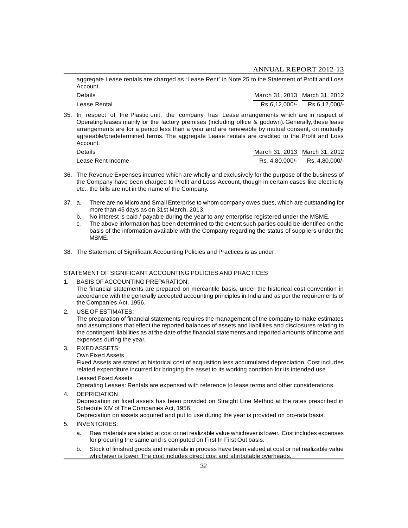#### **ANNUAL REPORT 2012-13**

**aggregate Lease rentals are charged as "Lease Rent" in Note 25 to the Statement of Profit and Loss Account.**

| <b>Details</b> | <b>March 31, 2013</b> March 31, 2012 |               |
|----------------|--------------------------------------|---------------|
| Lease Rental   | Rs.6.12.000/-                        | Rs.6.12.000/- |
|                |                                      |               |

**35. In respect of the Plastic unit, the company has Lease arrangements which are in respect of Operating leases mainly for the factory premises (including office & godown). Generally, these lease arrangements are for a period less than a year and are renewable by mutual consent, on mutually agreeable/predetermined terms. The aggregate Lease rentals are credited to the Profit and Loss Account.**

| Details           | March 31, 2013 March 31, 2012 |                                      |
|-------------------|-------------------------------|--------------------------------------|
| Lease Rent Income |                               | <b>Rs. 4.80.000/-</b> Rs. 4.80.000/- |

- **36. The Revenue Expenses incurred which are wholly and exclusively for the purpose of the business of the Company have been charged to Profit and Loss Account, though in certain cases like electricity etc., the bills are not in the name of the Company.**
- **37. a. There are no Micro and Small Enterprise to whom company owes dues, which are outstanding for more than 45 days as on 31st March, 2013.**
	- **b. No interest is paid / payable during the year to any enterprise registered under the MSME.**
	- **c. The above information has been determined to the extent such parties could be identified on the basis of the information available with the Company regarding the status of suppliers under the MSME.**
- **38. The Statement of Significant Accounting Policies and Practices is as under:**

#### **STATEMENT OF SIGNIFICANT ACCOUNTING POLICIES AND PRACTICES**

- **1. BASIS OF ACCOUNTING PREPARATION: The financial statements are prepared on mercantile basis, under the historical cost convention in accordance with the generally accepted accounting principles in India and as per the requirements of the Companies Act, 1956.**
- **2. USE OF ESTIMATES:**

**The preparation of financial statements requires the management of the company to make estimates and assumptions that effect the reported balances of assets and liabilities and disclosures relating to the contingent liabilities as at the date of the financial statements and reported amounts of income and expenses during the year.**

- **3. FIXED ASSETS:**
- **Own Fixed Assets**

**Fixed Assets are stated at historical cost of acquisition less accumulated depreciation. Cost includes related expenditure incurred for bringing the asset to its working condition for its intended use.**

**Leased Fixed Assets**

**Operating Leases: Rentals are expensed with reference to lease terms and other considerations.**

**4. DEPRICIATION**

**Depreciation on fixed assets has been provided on Straight Line Method at the rates prescribed in Schedule XIV of The Companies Act, 1956.**

**Depreciation on assets acquired and put to use during the year is provided on pro-rata basis.**

- **5. INVENTORIES:**
	- **a. Raw materials are stated at cost or net realizable value whichever is lower. Cost includes expenses for procuring the same and is computed on First In First Out basis.**
	- **b. Stock of finished goods and materials in process have been valued at cost or net realizable value whichever is lower. The cost includes direct cost and attributable overheads.**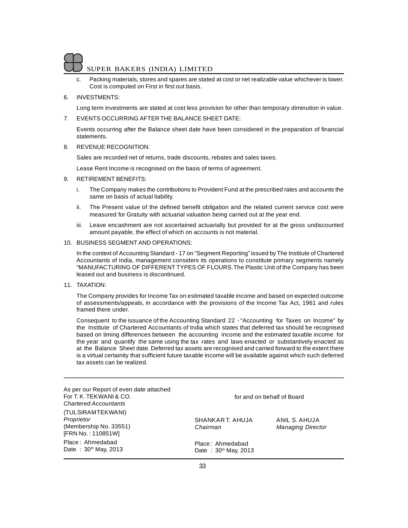**c. Packing materials, stores and spares are stated at cost or net realizable value whichever is lower. Cost is computed on First in first out basis.**

#### **6. INVESTMENTS:**

**Long term investments are stated at cost less provision for other than temporary diminution in value.**

**7. EVENTS OCCURRING AFTER THE BALANCE SHEET DATE:**

**Events occurring after the Balance sheet date have been considered in the preparation of financial statements.**

#### **8. REVENUE RECOGNITION:**

**Sales are recorded net of returns, trade discounts, rebates and sales taxes.**

**Lease Rent Income is recognised on the basis of terms of agreement.**

- **9. RETIREMENT BENEFITS:**
	- **i. The Company makes the contributions to Provident Fund at the prescribed rates and accounts the same on basis of actual liability.**
	- **ii. The Present value of the defined benefit obligation and the related current service cost were measured for Gratuity with actuarial valuation being carried out at the year end.**
	- **iii. Leave encashment are not ascertained actuarially but provided for at the gross undiscounted amount payable, the effect of which on accounts is not material.**
- **10. BUSINESS SEGMENT AND OPERATIONS:**

**In the context of Accounting Standard - 17 on "Segment Reporting" issued by The Institute of Chartered Accountants of India, management considers its operations to constitute primary segments namely "MANUFACTURING OF DIFFERENT TYPES OF FLOURS. The Plastic Unit of the Company has been leased out and business is discontinued.**

**11. TAXATION:**

**The Company provides for Income Tax on estimated taxable income and based on expected outcome of assessments/appeals, in accordance with the provisions of the Income Tax Act, 1961 and rules framed there under.**

**Consequent to the issuance of the Accounting Standard 22 - "Accounting for Taxes on Income" by the Institute of Chartered Accountants of India which states that deferred tax should be recognised based on timing differences between the accounting income and the estimated taxable income for the year and quantify the same using the tax rates and laws enacted or substantively enacted as at the Balance Sheet date. Deferred tax assets are recognised and carried forward to the extent there is a virtual certainity that sufficient future taxable income will be available against which such deferred tax assets can be realized.**

**As per our Report of even date attached For T. K. TEKWANI & CO.** *Chartered Accountants*

#### **(TULSIRAM TEKWANI)**

*Proprietor* **(Membership No. 33551) [FRN No. : 110851W]**

**Place : Ahmedabad Date : 30th May, 2013** **for and on behalf of Board**

**SHANKAR T. AHUJA ANIL S. AHUJA** *Chairman Managing Director*

**Place : Ahmedabad Date : 30th May, 2013**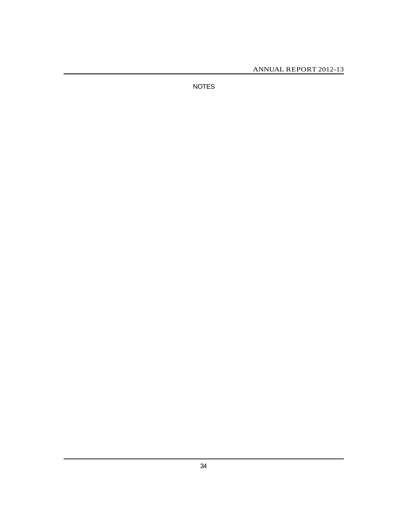**NOTES**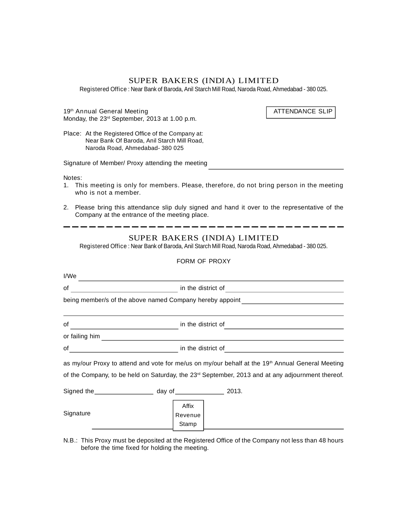**Registered Office : Near Bank of Baroda, Anil Starch Mill Road, Naroda Road, Ahmedabad - 380 025.**

|      | 19th Annual General Meeting<br>Monday, the 23 <sup>rd</sup> September, 2013 at 1.00 p.m.                                                        |                           |                                     | <b>ATTENDANCE SLIP</b>                                                                                                                                                                                           |  |  |  |  |  |
|------|-------------------------------------------------------------------------------------------------------------------------------------------------|---------------------------|-------------------------------------|------------------------------------------------------------------------------------------------------------------------------------------------------------------------------------------------------------------|--|--|--|--|--|
|      | Place: At the Registered Office of the Company at:<br>Near Bank Of Baroda, Anil Starch Mill Road,<br>Naroda Road, Ahmedabad- 380 025            |                           |                                     |                                                                                                                                                                                                                  |  |  |  |  |  |
|      | Signature of Member/ Proxy attending the meeting                                                                                                |                           |                                     |                                                                                                                                                                                                                  |  |  |  |  |  |
| 1.   | Notes:<br>who is not a member.                                                                                                                  |                           |                                     | This meeting is only for members. Please, therefore, do not bring person in the meeting                                                                                                                          |  |  |  |  |  |
|      | 2. Please bring this attendance slip duly signed and hand it over to the representative of the<br>Company at the entrance of the meeting place. |                           |                                     |                                                                                                                                                                                                                  |  |  |  |  |  |
|      |                                                                                                                                                 |                           | <b>SUPER BAKERS (INDIA) LIMITED</b> | Registered Office : Near Bank of Baroda, Anil Starch Mill Road, Naroda Road, Ahmedabad - 380 025.                                                                                                                |  |  |  |  |  |
|      |                                                                                                                                                 |                           | <b>FORM OF PROXY</b>                |                                                                                                                                                                                                                  |  |  |  |  |  |
| I/We |                                                                                                                                                 |                           |                                     |                                                                                                                                                                                                                  |  |  |  |  |  |
| of a |                                                                                                                                                 | in the district of        |                                     |                                                                                                                                                                                                                  |  |  |  |  |  |
|      |                                                                                                                                                 |                           |                                     | being member/s of the above named Company hereby appoint                                                                                                                                                         |  |  |  |  |  |
|      | $of$ and $\sim$                                                                                                                                 |                           |                                     | in the district of <b>Example 2018</b> in the district of                                                                                                                                                        |  |  |  |  |  |
|      | or failing him and the state of the state of the state of the state of the state of the state of the state of                                   |                           |                                     |                                                                                                                                                                                                                  |  |  |  |  |  |
|      |                                                                                                                                                 |                           |                                     | of the district of the district of                                                                                                                                                                               |  |  |  |  |  |
|      |                                                                                                                                                 |                           |                                     | as my/our Proxy to attend and vote for me/us on my/our behalf at the 19th Annual General Meeting<br>of the Company, to be held on Saturday, the 23 <sup>rd</sup> September, 2013 and at any adjournment thereof. |  |  |  |  |  |
|      |                                                                                                                                                 |                           |                                     |                                                                                                                                                                                                                  |  |  |  |  |  |
|      | Signature                                                                                                                                       | Affix<br>Revenue<br>Stamp |                                     |                                                                                                                                                                                                                  |  |  |  |  |  |
|      |                                                                                                                                                 |                           |                                     |                                                                                                                                                                                                                  |  |  |  |  |  |

**N.B.: This Proxy must be deposited at the Registered Office of the Company not less than 48 hours before the time fixed for holding the meeting.**